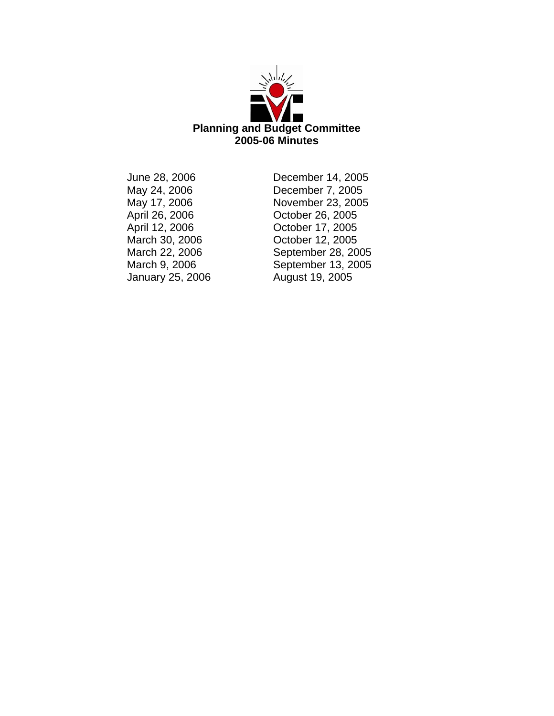

January 25, 2006 August 19, 2005

June 28, 2006 December 14, 2005 December 7, 2005 May 17, 2006 November 23, 2005 October 26, 2005 April 12, 2006 **October 17, 2005**<br>March 30, 2006 **October 12, 2005** March 30, 2006 October 12, 2005 September 28, 2005 March 9, 2006 September 13, 2005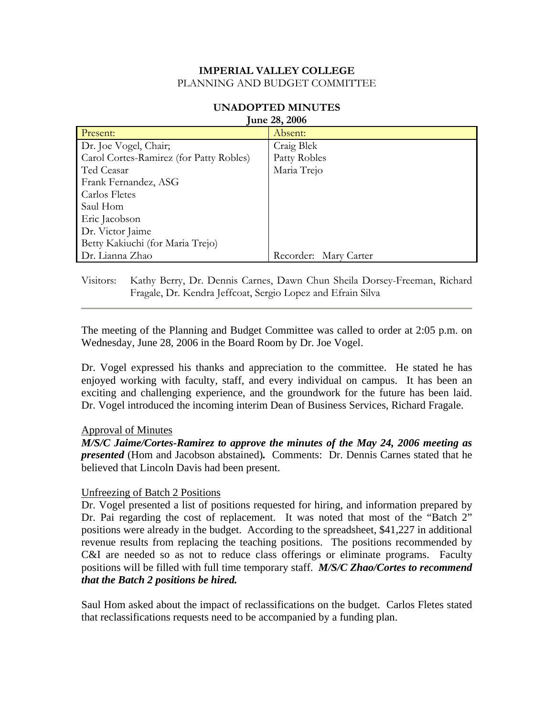| Fulle 20, $2000$                        |                       |  |
|-----------------------------------------|-----------------------|--|
| Present:                                | Absent:               |  |
| Dr. Joe Vogel, Chair;                   | Craig Blek            |  |
| Carol Cortes-Ramirez (for Patty Robles) | Patty Robles          |  |
| Ted Ceasar                              | Maria Trejo           |  |
| Frank Fernandez, ASG                    |                       |  |
| Carlos Fletes                           |                       |  |
| Saul Hom                                |                       |  |
| Eric Jacobson                           |                       |  |
| Dr. Victor Jaime                        |                       |  |
| Betty Kakiuchi (for Maria Trejo)        |                       |  |
| Dr. Lianna Zhao                         | Recorder: Mary Carter |  |

#### **UNADOPTED MINUTES June 28, 2006**

Visitors: Kathy Berry, Dr. Dennis Carnes, Dawn Chun Sheila Dorsey-Freeman, Richard Fragale, Dr. Kendra Jeffcoat, Sergio Lopez and Efrain Silva

The meeting of the Planning and Budget Committee was called to order at 2:05 p.m. on Wednesday, June 28, 2006 in the Board Room by Dr. Joe Vogel.

Dr. Vogel expressed his thanks and appreciation to the committee. He stated he has enjoyed working with faculty, staff, and every individual on campus. It has been an exciting and challenging experience, and the groundwork for the future has been laid. Dr. Vogel introduced the incoming interim Dean of Business Services, Richard Fragale.

### Approval of Minutes

*M/S/C Jaime/Cortes-Ramirez to approve the minutes of the May 24, 2006 meeting as presented* (Hom and Jacobson abstained)*.* Comments: Dr. Dennis Carnes stated that he believed that Lincoln Davis had been present.

### Unfreezing of Batch 2 Positions

Dr. Vogel presented a list of positions requested for hiring, and information prepared by Dr. Pai regarding the cost of replacement. It was noted that most of the "Batch 2" positions were already in the budget. According to the spreadsheet, \$41,227 in additional revenue results from replacing the teaching positions. The positions recommended by C&I are needed so as not to reduce class offerings or eliminate programs. Faculty positions will be filled with full time temporary staff. *M/S/C Zhao/Cortes to recommend that the Batch 2 positions be hired.* 

Saul Hom asked about the impact of reclassifications on the budget. Carlos Fletes stated that reclassifications requests need to be accompanied by a funding plan.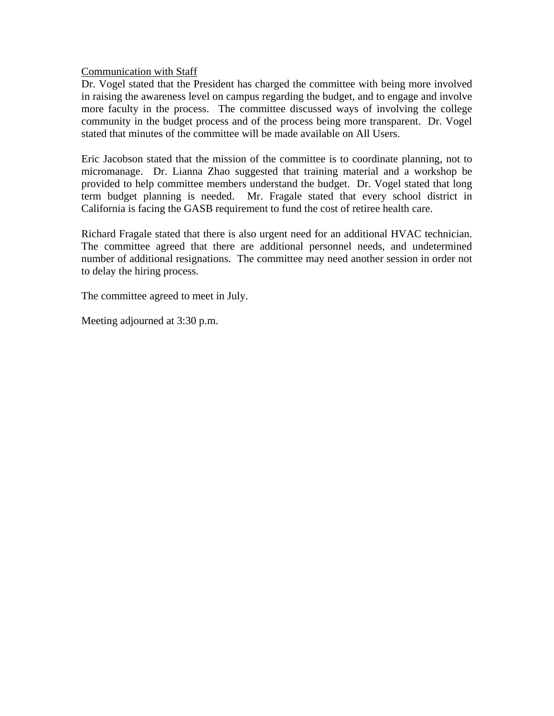Communication with Staff

Dr. Vogel stated that the President has charged the committee with being more involved in raising the awareness level on campus regarding the budget, and to engage and involve more faculty in the process. The committee discussed ways of involving the college community in the budget process and of the process being more transparent. Dr. Vogel stated that minutes of the committee will be made available on All Users.

Eric Jacobson stated that the mission of the committee is to coordinate planning, not to micromanage. Dr. Lianna Zhao suggested that training material and a workshop be provided to help committee members understand the budget. Dr. Vogel stated that long term budget planning is needed. Mr. Fragale stated that every school district in California is facing the GASB requirement to fund the cost of retiree health care.

Richard Fragale stated that there is also urgent need for an additional HVAC technician. The committee agreed that there are additional personnel needs, and undetermined number of additional resignations. The committee may need another session in order not to delay the hiring process.

The committee agreed to meet in July.

Meeting adjourned at 3:30 p.m.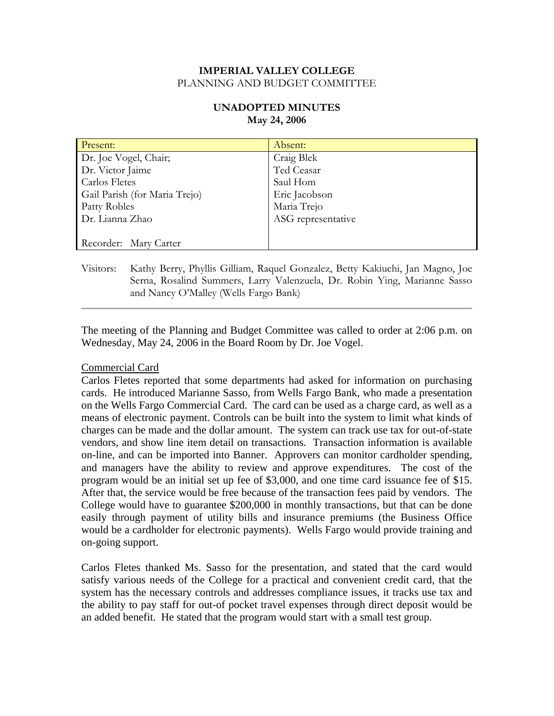# **UNADOPTED MINUTES May 24, 2006**

| Present:                      | Absent:            |
|-------------------------------|--------------------|
| Dr. Joe Vogel, Chair;         | Craig Blek         |
| Dr. Victor Jaime              | Ted Ceasar         |
| <b>Carlos Fletes</b>          | Saul Hom           |
| Gail Parish (for Maria Trejo) | Eric Jacobson      |
| Patty Robles                  | Maria Trejo        |
| Dr. Lianna Zhao               | ASG representative |
|                               |                    |
| Recorder: Mary Carter         |                    |

Visitors: Kathy Berry, Phyllis Gilliam, Raquel Gonzalez, Betty Kakiuchi, Jan Magno, Joe Serna, Rosalind Summers, Larry Valenzuela, Dr. Robin Ying, Marianne Sasso and Nancy O'Malley (Wells Fargo Bank)

The meeting of the Planning and Budget Committee was called to order at 2:06 p.m. on Wednesday, May 24, 2006 in the Board Room by Dr. Joe Vogel.

### Commercial Card

Carlos Fletes reported that some departments had asked for information on purchasing cards. He introduced Marianne Sasso, from Wells Fargo Bank, who made a presentation on the Wells Fargo Commercial Card. The card can be used as a charge card, as well as a means of electronic payment. Controls can be built into the system to limit what kinds of charges can be made and the dollar amount. The system can track use tax for out-of-state vendors, and show line item detail on transactions. Transaction information is available on-line, and can be imported into Banner. Approvers can monitor cardholder spending, and managers have the ability to review and approve expenditures. The cost of the program would be an initial set up fee of \$3,000, and one time card issuance fee of \$15. After that, the service would be free because of the transaction fees paid by vendors. The College would have to guarantee \$200,000 in monthly transactions, but that can be done easily through payment of utility bills and insurance premiums (the Business Office would be a cardholder for electronic payments). Wells Fargo would provide training and on-going support.

Carlos Fletes thanked Ms. Sasso for the presentation, and stated that the card would satisfy various needs of the College for a practical and convenient credit card, that the system has the necessary controls and addresses compliance issues, it tracks use tax and the ability to pay staff for out-of pocket travel expenses through direct deposit would be an added benefit. He stated that the program would start with a small test group.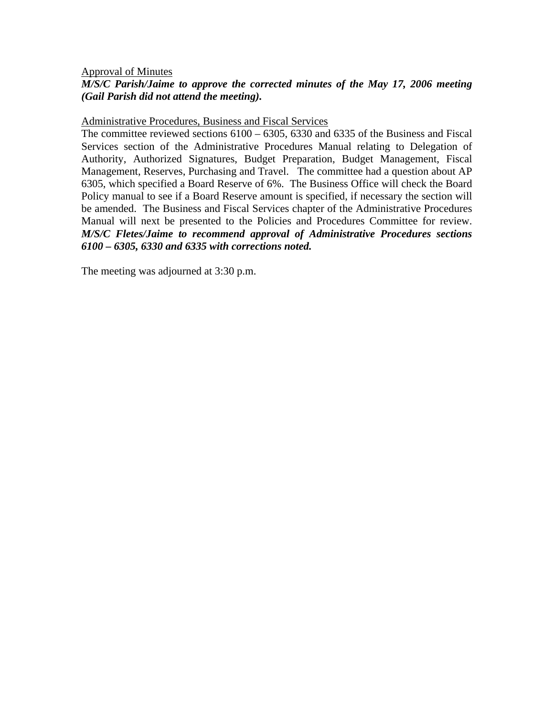#### Approval of Minutes

# *M/S/C Parish/Jaime to approve the corrected minutes of the May 17, 2006 meeting (Gail Parish did not attend the meeting).*

#### Administrative Procedures, Business and Fiscal Services

The committee reviewed sections 6100 – 6305, 6330 and 6335 of the Business and Fiscal Services section of the Administrative Procedures Manual relating to Delegation of Authority, Authorized Signatures, Budget Preparation, Budget Management, Fiscal Management, Reserves, Purchasing and Travel. The committee had a question about AP 6305, which specified a Board Reserve of 6%. The Business Office will check the Board Policy manual to see if a Board Reserve amount is specified, if necessary the section will be amended. The Business and Fiscal Services chapter of the Administrative Procedures Manual will next be presented to the Policies and Procedures Committee for review. *M/S/C Fletes/Jaime to recommend approval of Administrative Procedures sections 6100 – 6305, 6330 and 6335 with corrections noted.* 

The meeting was adjourned at 3:30 p.m.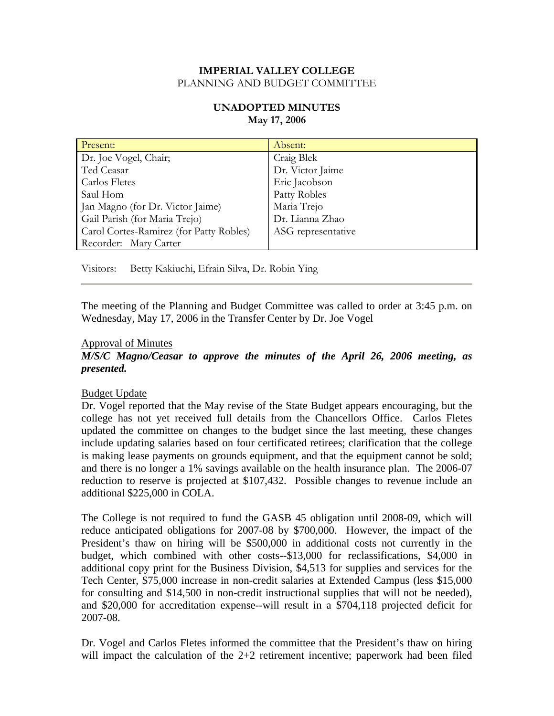# **UNADOPTED MINUTES May 17, 2006**

| Present:                                | Absent:            |
|-----------------------------------------|--------------------|
| Dr. Joe Vogel, Chair;                   | Craig Blek         |
| Ted Ceasar                              | Dr. Victor Jaime   |
| Carlos Fletes                           | Eric Jacobson      |
| Saul Hom                                | Patty Robles       |
| Jan Magno (for Dr. Victor Jaime)        | Maria Trejo        |
| Gail Parish (for Maria Trejo)           | Dr. Lianna Zhao    |
| Carol Cortes-Ramirez (for Patty Robles) | ASG representative |
| Recorder: Mary Carter                   |                    |

Visitors: Betty Kakiuchi, Efrain Silva, Dr. Robin Ying

The meeting of the Planning and Budget Committee was called to order at 3:45 p.m. on Wednesday, May 17, 2006 in the Transfer Center by Dr. Joe Vogel

### Approval of Minutes

# *M/S/C Magno/Ceasar to approve the minutes of the April 26, 2006 meeting, as presented.*

### Budget Update

Dr. Vogel reported that the May revise of the State Budget appears encouraging, but the college has not yet received full details from the Chancellors Office. Carlos Fletes updated the committee on changes to the budget since the last meeting, these changes include updating salaries based on four certificated retirees; clarification that the college is making lease payments on grounds equipment, and that the equipment cannot be sold; and there is no longer a 1% savings available on the health insurance plan. The 2006-07 reduction to reserve is projected at \$107,432. Possible changes to revenue include an additional \$225,000 in COLA.

The College is not required to fund the GASB 45 obligation until 2008-09, which will reduce anticipated obligations for 2007-08 by \$700,000. However, the impact of the President's thaw on hiring will be \$500,000 in additional costs not currently in the budget, which combined with other costs--\$13,000 for reclassifications, \$4,000 in additional copy print for the Business Division, \$4,513 for supplies and services for the Tech Center, \$75,000 increase in non-credit salaries at Extended Campus (less \$15,000 for consulting and \$14,500 in non-credit instructional supplies that will not be needed), and \$20,000 for accreditation expense--will result in a \$704,118 projected deficit for 2007-08.

Dr. Vogel and Carlos Fletes informed the committee that the President's thaw on hiring will impact the calculation of the  $2+2$  retirement incentive; paperwork had been filed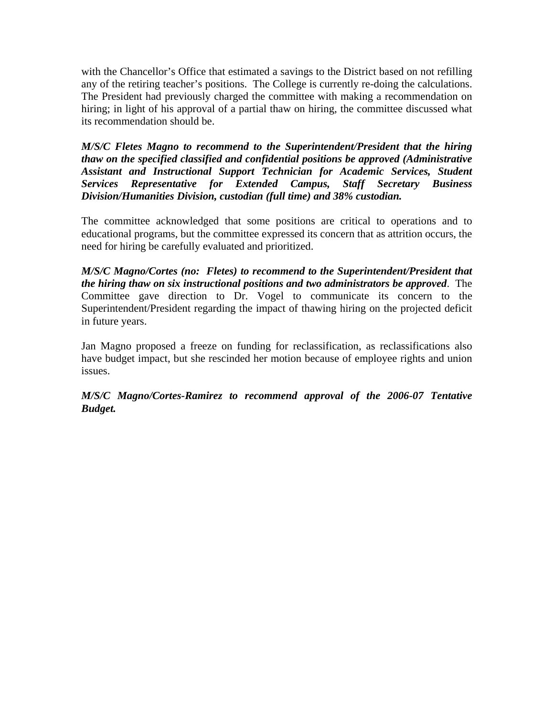with the Chancellor's Office that estimated a savings to the District based on not refilling any of the retiring teacher's positions. The College is currently re-doing the calculations. The President had previously charged the committee with making a recommendation on hiring; in light of his approval of a partial thaw on hiring, the committee discussed what its recommendation should be.

*M/S/C Fletes Magno to recommend to the Superintendent/President that the hiring thaw on the specified classified and confidential positions be approved (Administrative Assistant and Instructional Support Technician for Academic Services, Student Services Representative for Extended Campus, Staff Secretary Business Division/Humanities Division, custodian (full time) and 38% custodian.* 

The committee acknowledged that some positions are critical to operations and to educational programs, but the committee expressed its concern that as attrition occurs, the need for hiring be carefully evaluated and prioritized.

*M/S/C Magno/Cortes (no: Fletes) to recommend to the Superintendent/President that the hiring thaw on six instructional positions and two administrators be approved*. The Committee gave direction to Dr. Vogel to communicate its concern to the Superintendent/President regarding the impact of thawing hiring on the projected deficit in future years.

Jan Magno proposed a freeze on funding for reclassification, as reclassifications also have budget impact, but she rescinded her motion because of employee rights and union issues.

*M/S/C Magno/Cortes-Ramirez to recommend approval of the 2006-07 Tentative Budget.*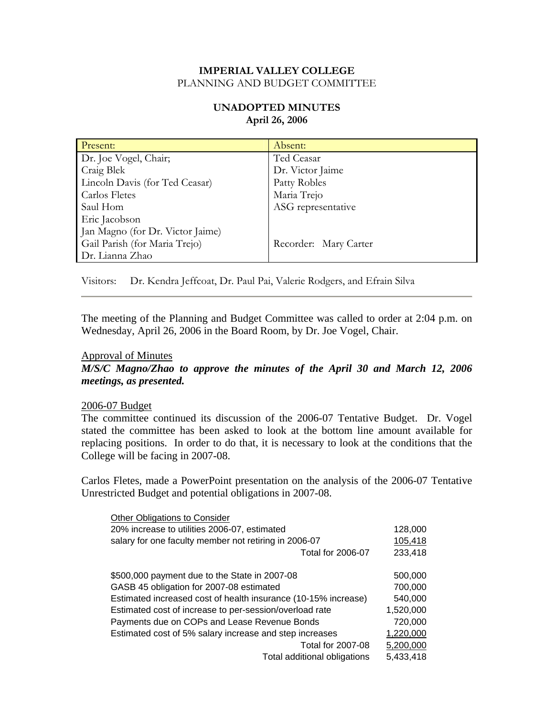# **UNADOPTED MINUTES April 26, 2006**

| Present:                         | Absent:               |
|----------------------------------|-----------------------|
| Dr. Joe Vogel, Chair;            | Ted Ceasar            |
| Craig Blek                       | Dr. Victor Jaime      |
| Lincoln Davis (for Ted Ceasar)   | Patty Robles          |
| Carlos Fletes                    | Maria Trejo           |
| Saul Hom                         | ASG representative    |
| Eric Jacobson                    |                       |
| Jan Magno (for Dr. Victor Jaime) |                       |
| Gail Parish (for Maria Trejo)    | Recorder: Mary Carter |
| Dr. Lianna Zhao                  |                       |

Visitors: Dr. Kendra Jeffcoat, Dr. Paul Pai, Valerie Rodgers, and Efrain Silva

The meeting of the Planning and Budget Committee was called to order at 2:04 p.m. on Wednesday, April 26, 2006 in the Board Room, by Dr. Joe Vogel, Chair.

#### Approval of Minutes

*M/S/C Magno/Zhao to approve the minutes of the April 30 and March 12, 2006 meetings, as presented.* 

#### 2006-07 Budget

The committee continued its discussion of the 2006-07 Tentative Budget. Dr. Vogel stated the committee has been asked to look at the bottom line amount available for replacing positions. In order to do that, it is necessary to look at the conditions that the College will be facing in 2007-08.

Carlos Fletes, made a PowerPoint presentation on the analysis of the 2006-07 Tentative Unrestricted Budget and potential obligations in 2007-08.

| Other Obligations to Consider                                  |           |
|----------------------------------------------------------------|-----------|
| 20% increase to utilities 2006-07, estimated                   | 128,000   |
| salary for one faculty member not retiring in 2006-07          | 105,418   |
| <b>Total for 2006-07</b>                                       | 233,418   |
|                                                                |           |
| \$500,000 payment due to the State in 2007-08                  | 500,000   |
| GASB 45 obligation for 2007-08 estimated                       | 700,000   |
| Estimated increased cost of health insurance (10-15% increase) | 540,000   |
| Estimated cost of increase to per-session/overload rate        | 1,520,000 |
| Payments due on COPs and Lease Revenue Bonds                   | 720,000   |
| Estimated cost of 5% salary increase and step increases        | 1,220,000 |
| <b>Total for 2007-08</b>                                       | 5,200,000 |
| Total additional obligations                                   | 5,433,418 |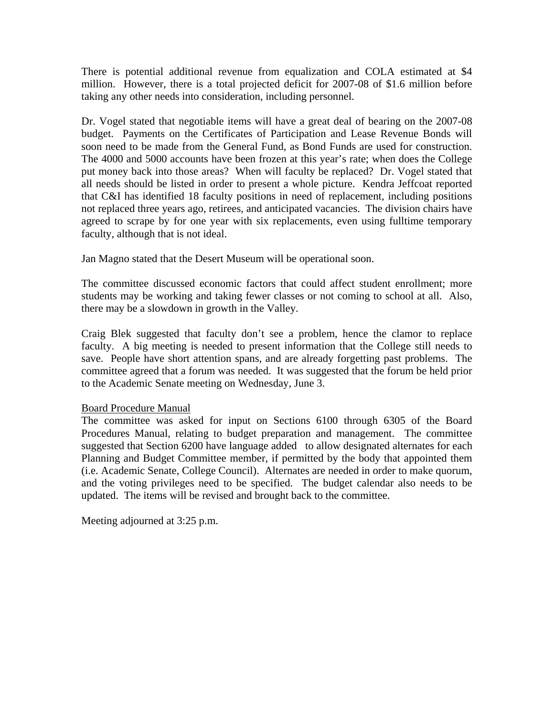There is potential additional revenue from equalization and COLA estimated at \$4 million. However, there is a total projected deficit for 2007-08 of \$1.6 million before taking any other needs into consideration, including personnel.

Dr. Vogel stated that negotiable items will have a great deal of bearing on the 2007-08 budget. Payments on the Certificates of Participation and Lease Revenue Bonds will soon need to be made from the General Fund, as Bond Funds are used for construction. The 4000 and 5000 accounts have been frozen at this year's rate; when does the College put money back into those areas? When will faculty be replaced? Dr. Vogel stated that all needs should be listed in order to present a whole picture. Kendra Jeffcoat reported that C&I has identified 18 faculty positions in need of replacement, including positions not replaced three years ago, retirees, and anticipated vacancies. The division chairs have agreed to scrape by for one year with six replacements, even using fulltime temporary faculty, although that is not ideal.

Jan Magno stated that the Desert Museum will be operational soon.

The committee discussed economic factors that could affect student enrollment; more students may be working and taking fewer classes or not coming to school at all. Also, there may be a slowdown in growth in the Valley.

Craig Blek suggested that faculty don't see a problem, hence the clamor to replace faculty. A big meeting is needed to present information that the College still needs to save. People have short attention spans, and are already forgetting past problems. The committee agreed that a forum was needed. It was suggested that the forum be held prior to the Academic Senate meeting on Wednesday, June 3.

### Board Procedure Manual

The committee was asked for input on Sections 6100 through 6305 of the Board Procedures Manual, relating to budget preparation and management. The committee suggested that Section 6200 have language added to allow designated alternates for each Planning and Budget Committee member, if permitted by the body that appointed them (i.e. Academic Senate, College Council). Alternates are needed in order to make quorum, and the voting privileges need to be specified. The budget calendar also needs to be updated. The items will be revised and brought back to the committee.

Meeting adjourned at 3:25 p.m.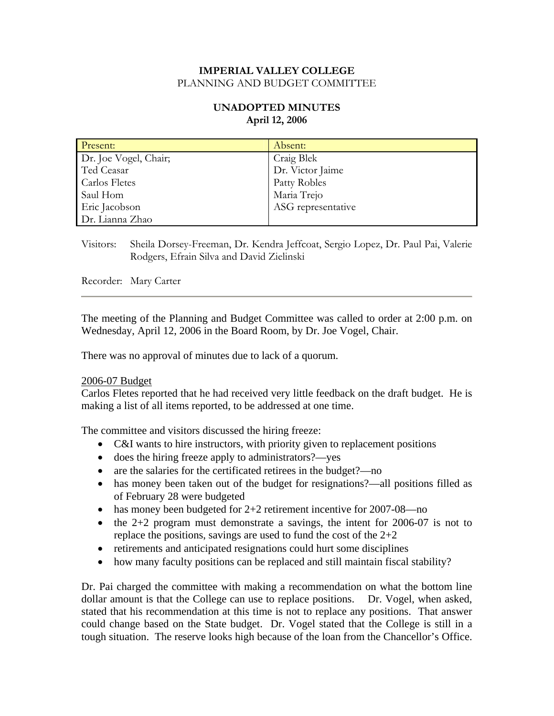# **UNADOPTED MINUTES April 12, 2006**

| Present:              | Absent:            |
|-----------------------|--------------------|
| Dr. Joe Vogel, Chair; | Craig Blek         |
| Ted Ceasar            | Dr. Victor Jaime   |
| Carlos Fletes         | Patty Robles       |
| Saul Hom              | Maria Trejo        |
| Eric Jacobson         | ASG representative |
| Dr. Lianna Zhao       |                    |

Visitors: Sheila Dorsey-Freeman, Dr. Kendra Jeffcoat, Sergio Lopez, Dr. Paul Pai, Valerie Rodgers, Efrain Silva and David Zielinski

Recorder: Mary Carter

The meeting of the Planning and Budget Committee was called to order at 2:00 p.m. on Wednesday, April 12, 2006 in the Board Room, by Dr. Joe Vogel, Chair.

There was no approval of minutes due to lack of a quorum.

#### 2006-07 Budget

Carlos Fletes reported that he had received very little feedback on the draft budget. He is making a list of all items reported, to be addressed at one time.

The committee and visitors discussed the hiring freeze:

- C&I wants to hire instructors, with priority given to replacement positions
- does the hiring freeze apply to administrators?—yes
- are the salaries for the certificated retirees in the budget?—no
- has money been taken out of the budget for resignations?—all positions filled as of February 28 were budgeted
- has money been budgeted for 2+2 retirement incentive for 2007-08—no
- the  $2+2$  program must demonstrate a savings, the intent for 2006-07 is not to replace the positions, savings are used to fund the cost of the 2+2
- retirements and anticipated resignations could hurt some disciplines
- how many faculty positions can be replaced and still maintain fiscal stability?

Dr. Pai charged the committee with making a recommendation on what the bottom line dollar amount is that the College can use to replace positions. Dr. Vogel, when asked, stated that his recommendation at this time is not to replace any positions. That answer could change based on the State budget. Dr. Vogel stated that the College is still in a tough situation. The reserve looks high because of the loan from the Chancellor's Office.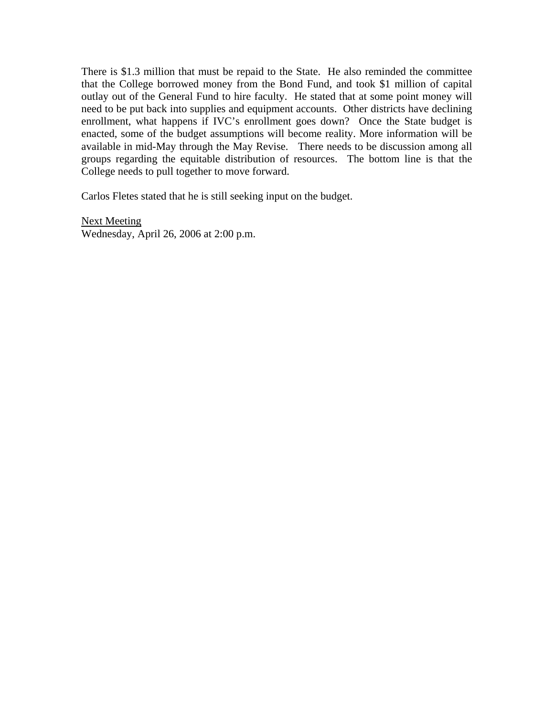There is \$1.3 million that must be repaid to the State. He also reminded the committee that the College borrowed money from the Bond Fund, and took \$1 million of capital outlay out of the General Fund to hire faculty. He stated that at some point money will need to be put back into supplies and equipment accounts. Other districts have declining enrollment, what happens if IVC's enrollment goes down? Once the State budget is enacted, some of the budget assumptions will become reality. More information will be available in mid-May through the May Revise. There needs to be discussion among all groups regarding the equitable distribution of resources. The bottom line is that the College needs to pull together to move forward.

Carlos Fletes stated that he is still seeking input on the budget.

Next Meeting Wednesday, April 26, 2006 at 2:00 p.m.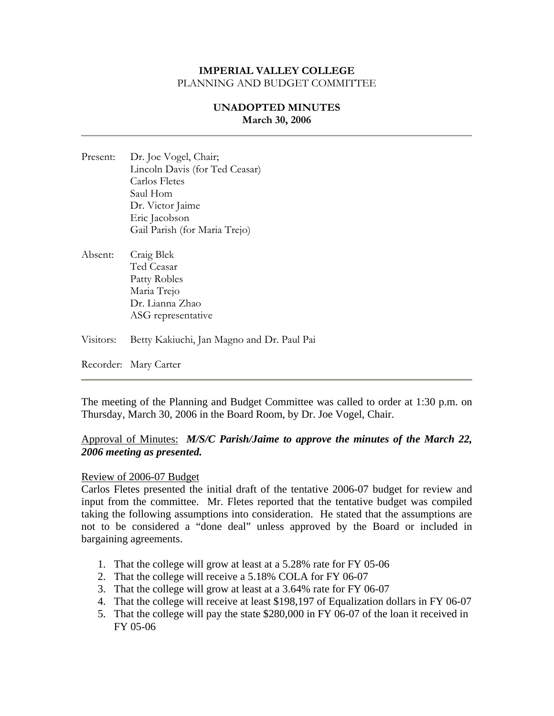# **UNADOPTED MINUTES March 30, 2006**

- Present: Dr. Joe Vogel, Chair; Lincoln Davis (for Ted Ceasar) Carlos Fletes Saul Hom Dr. Victor Jaime Eric Jacobson Gail Parish (for Maria Trejo)
- Absent: Craig Blek Ted Ceasar Patty Robles Maria Trejo Dr. Lianna Zhao ASG representative
- Visitors: Betty Kakiuchi, Jan Magno and Dr. Paul Pai

Recorder: Mary Carter

The meeting of the Planning and Budget Committee was called to order at 1:30 p.m. on Thursday, March 30, 2006 in the Board Room, by Dr. Joe Vogel, Chair.

## Approval of Minutes: *M/S/C Parish/Jaime to approve the minutes of the March 22, 2006 meeting as presented.*

#### Review of 2006-07 Budget

Carlos Fletes presented the initial draft of the tentative 2006-07 budget for review and input from the committee. Mr. Fletes reported that the tentative budget was compiled taking the following assumptions into consideration. He stated that the assumptions are not to be considered a "done deal" unless approved by the Board or included in bargaining agreements.

- 1. That the college will grow at least at a 5.28% rate for FY 05-06
- 2. That the college will receive a 5.18% COLA for FY 06-07
- 3. That the college will grow at least at a 3.64% rate for FY 06-07
- 4. That the college will receive at least \$198,197 of Equalization dollars in FY 06-07
- 5. That the college will pay the state \$280,000 in FY 06-07 of the loan it received in FY 05-06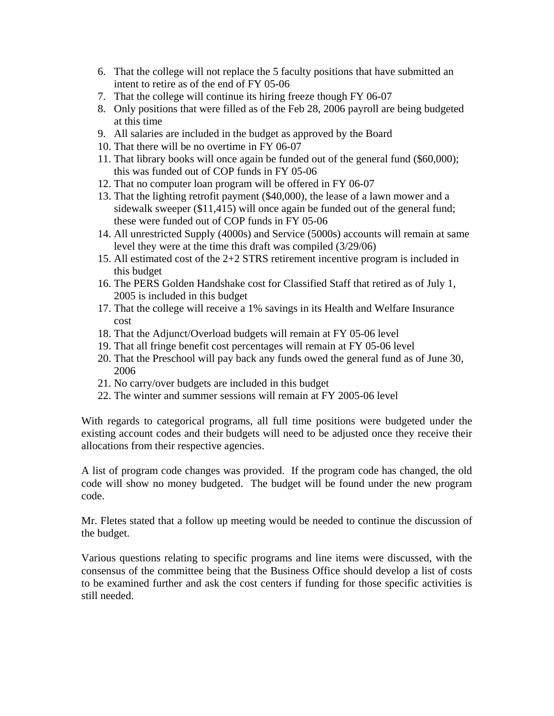- 6. That the college will not replace the 5 faculty positions that have submitted an intent to retire as of the end of FY 05-06
- 7. That the college will continue its hiring freeze though FY 06-07
- 8. Only positions that were filled as of the Feb 28, 2006 payroll are being budgeted at this time
- 9. All salaries are included in the budget as approved by the Board
- 10. That there will be no overtime in FY 06-07
- 11. That library books will once again be funded out of the general fund (\$60,000); this was funded out of COP funds in FY 05-06
- 12. That no computer loan program will be offered in FY 06-07
- 13. That the lighting retrofit payment (\$40,000), the lease of a lawn mower and a sidewalk sweeper (\$11,415) will once again be funded out of the general fund; these were funded out of COP funds in FY 05-06
- 14. All unrestricted Supply (4000s) and Service (5000s) accounts will remain at same level they were at the time this draft was compiled (3/29/06)
- 15. All estimated cost of the 2+2 STRS retirement incentive program is included in this budget
- 16. The PERS Golden Handshake cost for Classified Staff that retired as of July 1, 2005 is included in this budget
- 17. That the college will receive a 1% savings in its Health and Welfare Insurance cost
- 18. That the Adjunct/Overload budgets will remain at FY 05-06 level
- 19. That all fringe benefit cost percentages will remain at FY 05-06 level
- 20. That the Preschool will pay back any funds owed the general fund as of June 30, 2006
- 21. No carry/over budgets are included in this budget
- 22. The winter and summer sessions will remain at FY 2005-06 level

With regards to categorical programs, all full time positions were budgeted under the existing account codes and their budgets will need to be adjusted once they receive their allocations from their respective agencies.

A list of program code changes was provided. If the program code has changed, the old code will show no money budgeted. The budget will be found under the new program code.

Mr. Fletes stated that a follow up meeting would be needed to continue the discussion of the budget.

Various questions relating to specific programs and line items were discussed, with the consensus of the committee being that the Business Office should develop a list of costs to be examined further and ask the cost centers if funding for those specific activities is still needed.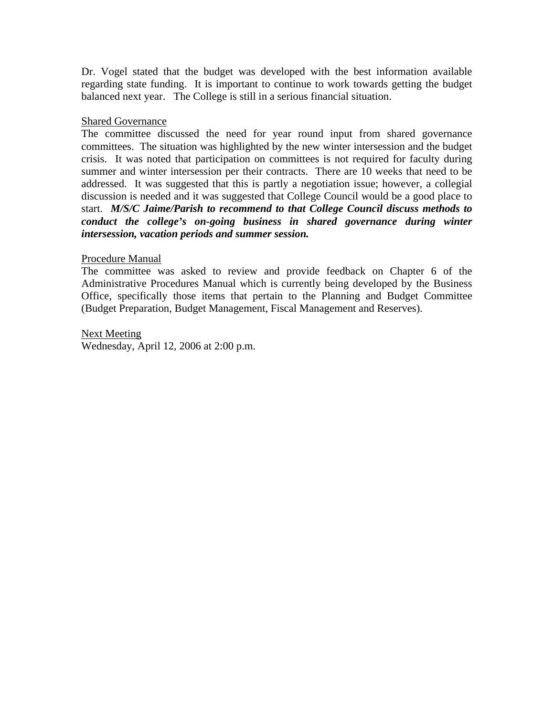Dr. Vogel stated that the budget was developed with the best information available regarding state funding. It is important to continue to work towards getting the budget balanced next year. The College is still in a serious financial situation.

#### Shared Governance

The committee discussed the need for year round input from shared governance committees. The situation was highlighted by the new winter intersession and the budget crisis. It was noted that participation on committees is not required for faculty during summer and winter intersession per their contracts. There are 10 weeks that need to be addressed. It was suggested that this is partly a negotiation issue; however, a collegial discussion is needed and it was suggested that College Council would be a good place to start. *M/S/C Jaime/Parish to recommend to that College Council discuss methods to conduct the college's on-going business in shared governance during winter intersession, vacation periods and summer session.* 

#### Procedure Manual

The committee was asked to review and provide feedback on Chapter 6 of the Administrative Procedures Manual which is currently being developed by the Business Office, specifically those items that pertain to the Planning and Budget Committee (Budget Preparation, Budget Management, Fiscal Management and Reserves).

Next Meeting Wednesday, April 12, 2006 at 2:00 p.m.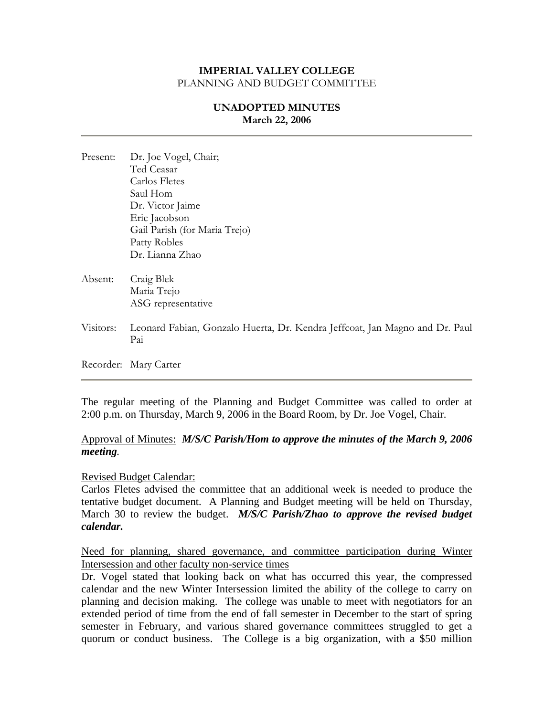# **UNADOPTED MINUTES March 22, 2006**

| Present:  | Dr. Joe Vogel, Chair;                                                              |
|-----------|------------------------------------------------------------------------------------|
|           | Ted Ceasar                                                                         |
|           | Carlos Fletes                                                                      |
|           | Saul Hom                                                                           |
|           | Dr. Victor Jaime                                                                   |
|           | Eric Jacobson                                                                      |
|           | Gail Parish (for Maria Trejo)                                                      |
|           | Patty Robles                                                                       |
|           | Dr. Lianna Zhao                                                                    |
| Absent:   | Craig Blek                                                                         |
|           | Maria Trejo                                                                        |
|           | ASG representative                                                                 |
| Visitors: | Leonard Fabian, Gonzalo Huerta, Dr. Kendra Jeffcoat, Jan Magno and Dr. Paul<br>Pai |
|           | Recorder: Mary Carter                                                              |
|           |                                                                                    |

The regular meeting of the Planning and Budget Committee was called to order at 2:00 p.m. on Thursday, March 9, 2006 in the Board Room, by Dr. Joe Vogel, Chair.

### Approval of Minutes: *M/S/C Parish/Hom to approve the minutes of the March 9, 2006 meeting.*

#### Revised Budget Calendar:

Carlos Fletes advised the committee that an additional week is needed to produce the tentative budget document. A Planning and Budget meeting will be held on Thursday, March 30 to review the budget. *M/S/C Parish/Zhao to approve the revised budget calendar.* 

Need for planning, shared governance, and committee participation during Winter Intersession and other faculty non-service times

Dr. Vogel stated that looking back on what has occurred this year, the compressed calendar and the new Winter Intersession limited the ability of the college to carry on planning and decision making. The college was unable to meet with negotiators for an extended period of time from the end of fall semester in December to the start of spring semester in February, and various shared governance committees struggled to get a quorum or conduct business. The College is a big organization, with a \$50 million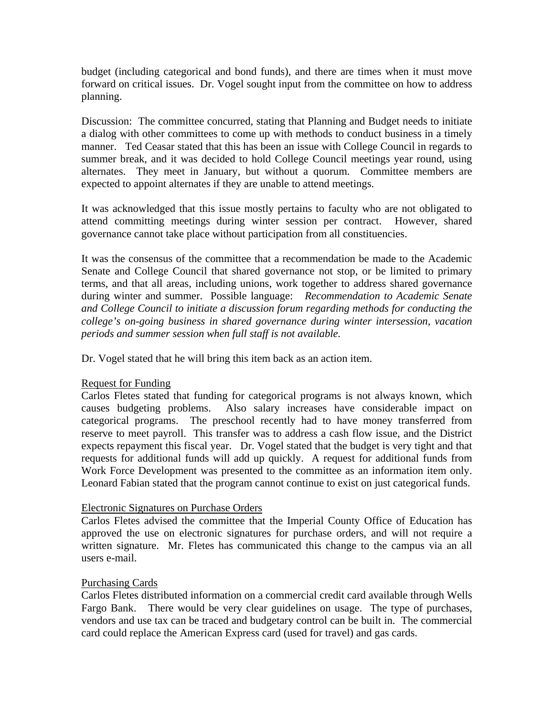budget (including categorical and bond funds), and there are times when it must move forward on critical issues. Dr. Vogel sought input from the committee on how to address planning.

Discussion: The committee concurred, stating that Planning and Budget needs to initiate a dialog with other committees to come up with methods to conduct business in a timely manner. Ted Ceasar stated that this has been an issue with College Council in regards to summer break, and it was decided to hold College Council meetings year round, using alternates. They meet in January, but without a quorum. Committee members are expected to appoint alternates if they are unable to attend meetings.

It was acknowledged that this issue mostly pertains to faculty who are not obligated to attend committing meetings during winter session per contract. However, shared governance cannot take place without participation from all constituencies.

It was the consensus of the committee that a recommendation be made to the Academic Senate and College Council that shared governance not stop, or be limited to primary terms, and that all areas, including unions, work together to address shared governance during winter and summer. Possible language: *Recommendation to Academic Senate and College Council to initiate a discussion forum regarding methods for conducting the college's on-going business in shared governance during winter intersession, vacation periods and summer session when full staff is not available.* 

Dr. Vogel stated that he will bring this item back as an action item.

### Request for Funding

Carlos Fletes stated that funding for categorical programs is not always known, which causes budgeting problems. Also salary increases have considerable impact on categorical programs. The preschool recently had to have money transferred from reserve to meet payroll. This transfer was to address a cash flow issue, and the District expects repayment this fiscal year. Dr. Vogel stated that the budget is very tight and that requests for additional funds will add up quickly. A request for additional funds from Work Force Development was presented to the committee as an information item only. Leonard Fabian stated that the program cannot continue to exist on just categorical funds.

### Electronic Signatures on Purchase Orders

Carlos Fletes advised the committee that the Imperial County Office of Education has approved the use on electronic signatures for purchase orders, and will not require a written signature. Mr. Fletes has communicated this change to the campus via an all users e-mail.

### Purchasing Cards

Carlos Fletes distributed information on a commercial credit card available through Wells Fargo Bank. There would be very clear guidelines on usage. The type of purchases, vendors and use tax can be traced and budgetary control can be built in. The commercial card could replace the American Express card (used for travel) and gas cards.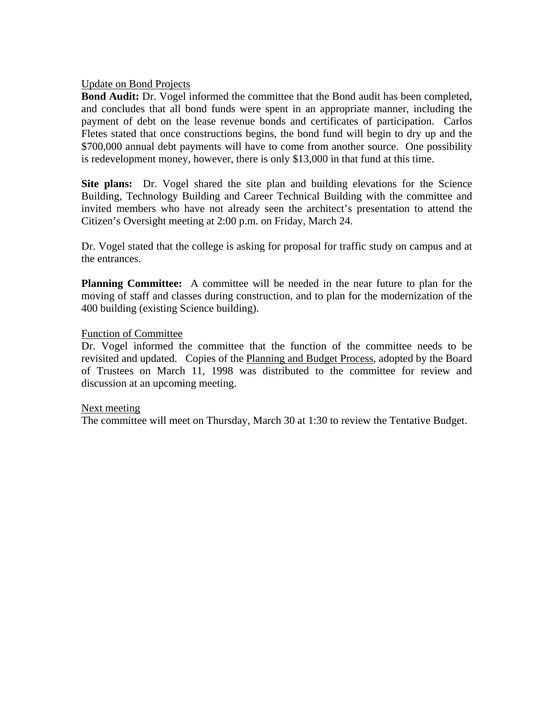#### Update on Bond Projects

**Bond Audit:** Dr. Vogel informed the committee that the Bond audit has been completed, and concludes that all bond funds were spent in an appropriate manner, including the payment of debt on the lease revenue bonds and certificates of participation. Carlos Fletes stated that once constructions begins, the bond fund will begin to dry up and the \$700,000 annual debt payments will have to come from another source. One possibility is redevelopment money, however, there is only \$13,000 in that fund at this time.

**Site plans:** Dr. Vogel shared the site plan and building elevations for the Science Building, Technology Building and Career Technical Building with the committee and invited members who have not already seen the architect's presentation to attend the Citizen's Oversight meeting at 2:00 p.m. on Friday, March 24.

Dr. Vogel stated that the college is asking for proposal for traffic study on campus and at the entrances.

**Planning Committee:** A committee will be needed in the near future to plan for the moving of staff and classes during construction, and to plan for the modernization of the 400 building (existing Science building).

#### Function of Committee

Dr. Vogel informed the committee that the function of the committee needs to be revisited and updated. Copies of the Planning and Budget Process, adopted by the Board of Trustees on March 11, 1998 was distributed to the committee for review and discussion at an upcoming meeting.

#### Next meeting

The committee will meet on Thursday, March 30 at 1:30 to review the Tentative Budget.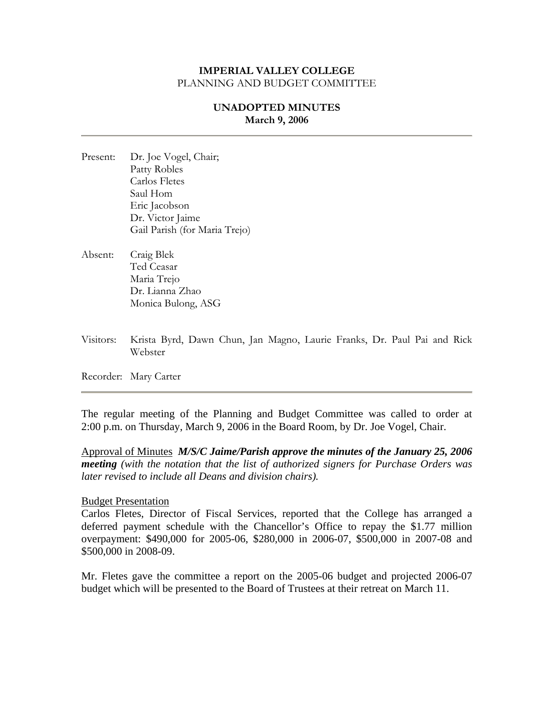# **UNADOPTED MINUTES March 9, 2006**

- Present: Dr. Joe Vogel, Chair; Patty Robles Carlos Fletes Saul Hom Eric Jacobson Dr. Victor Jaime Gail Parish (for Maria Trejo)
- Absent: Craig Blek Ted Ceasar Maria Trejo Dr. Lianna Zhao Monica Bulong, ASG
- Visitors: Krista Byrd, Dawn Chun, Jan Magno, Laurie Franks, Dr. Paul Pai and Rick Webster

Recorder: Mary Carter

The regular meeting of the Planning and Budget Committee was called to order at 2:00 p.m. on Thursday, March 9, 2006 in the Board Room, by Dr. Joe Vogel, Chair.

Approval of Minutes *M/S/C Jaime/Parish approve the minutes of the January 25, 2006 meeting (with the notation that the list of authorized signers for Purchase Orders was later revised to include all Deans and division chairs).* 

#### Budget Presentation

Carlos Fletes, Director of Fiscal Services, reported that the College has arranged a deferred payment schedule with the Chancellor's Office to repay the \$1.77 million overpayment: \$490,000 for 2005-06, \$280,000 in 2006-07, \$500,000 in 2007-08 and \$500,000 in 2008-09.

Mr. Fletes gave the committee a report on the 2005-06 budget and projected 2006-07 budget which will be presented to the Board of Trustees at their retreat on March 11.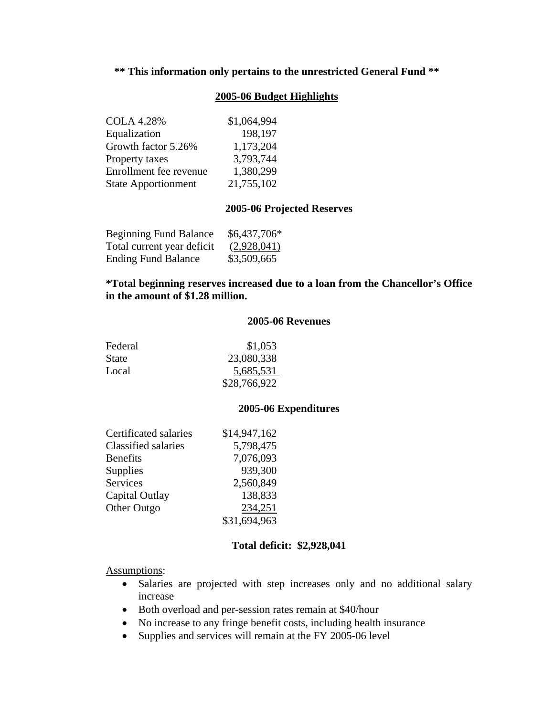# **\*\* This information only pertains to the unrestricted General Fund \*\***

### **2005-06 Budget Highlights**

| <b>COLA 4.28%</b>          | \$1,064,994 |
|----------------------------|-------------|
| Equalization               | 198,197     |
| Growth factor 5.26%        | 1,173,204   |
| Property taxes             | 3,793,744   |
| Enrollment fee revenue     | 1,380,299   |
| <b>State Apportionment</b> | 21,755,102  |

#### **2005-06 Projected Reserves**

| <b>Beginning Fund Balance</b> | $$6,437,706*$ |
|-------------------------------|---------------|
| Total current year deficit    | (2,928,041)   |
| <b>Ending Fund Balance</b>    | \$3,509,665   |

## **\*Total beginning reserves increased due to a loan from the Chancellor's Office in the amount of \$1.28 million.**

#### **2005-06 Revenues**

| Federal      | \$1,053      |
|--------------|--------------|
| <b>State</b> | 23,080,338   |
| Local        | 5,685,531    |
|              | \$28,766,922 |

#### **2005-06 Expenditures**

| Certificated salaries | \$14,947,162 |
|-----------------------|--------------|
| Classified salaries   | 5,798,475    |
| <b>Benefits</b>       | 7,076,093    |
| Supplies              | 939,300      |
| <b>Services</b>       | 2,560,849    |
| Capital Outlay        | 138,833      |
| Other Outgo           | 234,251      |
|                       | \$31,694,963 |

#### **Total deficit: \$2,928,041**

Assumptions:

- Salaries are projected with step increases only and no additional salary increase
- Both overload and per-session rates remain at \$40/hour
- No increase to any fringe benefit costs, including health insurance
- Supplies and services will remain at the FY 2005-06 level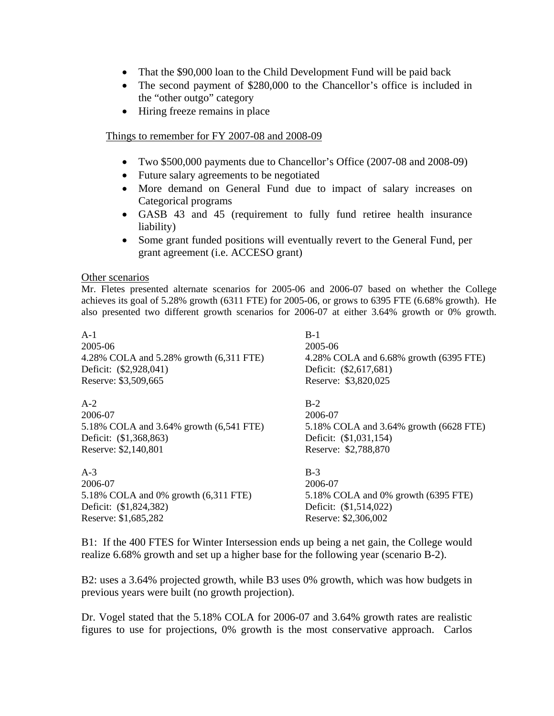- That the \$90,000 loan to the Child Development Fund will be paid back
- The second payment of \$280,000 to the Chancellor's office is included in the "other outgo" category
- Hiring freeze remains in place

#### Things to remember for FY 2007-08 and 2008-09

- Two \$500,000 payments due to Chancellor's Office (2007-08 and 2008-09)
- Future salary agreements to be negotiated
- More demand on General Fund due to impact of salary increases on Categorical programs
- GASB 43 and 45 (requirement to fully fund retiree health insurance liability)
- Some grant funded positions will eventually revert to the General Fund, per grant agreement (i.e. ACCESO grant)

#### Other scenarios

Mr. Fletes presented alternate scenarios for 2005-06 and 2006-07 based on whether the College achieves its goal of 5.28% growth (6311 FTE) for 2005-06, or grows to 6395 FTE (6.68% growth). He also presented two different growth scenarios for 2006-07 at either 3.64% growth or 0% growth.

| $A-1$                                   | $B-1$                                  |
|-----------------------------------------|----------------------------------------|
| 2005-06                                 | 2005-06                                |
| 4.28% COLA and 5.28% growth (6,311 FTE) | 4.28% COLA and 6.68% growth (6395 FTE) |
| Deficit: (\$2,928,041)                  | Deficit: (\$2,617,681)                 |
| Reserve: \$3,509,665                    | Reserve: \$3,820,025                   |
| $A-2$                                   | $B-2$                                  |
| 2006-07                                 | 2006-07                                |
| 5.18% COLA and 3.64% growth (6,541 FTE) | 5.18% COLA and 3.64% growth (6628 FTE) |
| Deficit: (\$1,368,863)                  | Deficit: (\$1,031,154)                 |
| Reserve: \$2,140,801                    | Reserve: \$2,788,870                   |
| $A-3$                                   | $B-3$                                  |
| 2006-07                                 | 2006-07                                |
| 5.18% COLA and 0% growth (6,311 FTE)    | 5.18% COLA and 0% growth (6395 FTE)    |
| Deficit: (\$1,824,382)                  | Deficit: (\$1,514,022)                 |
| Reserve: \$1,685,282                    | Reserve: \$2,306,002                   |

B1: If the 400 FTES for Winter Intersession ends up being a net gain, the College would realize 6.68% growth and set up a higher base for the following year (scenario B-2).

B2: uses a 3.64% projected growth, while B3 uses 0% growth, which was how budgets in previous years were built (no growth projection).

Dr. Vogel stated that the 5.18% COLA for 2006-07 and 3.64% growth rates are realistic figures to use for projections, 0% growth is the most conservative approach. Carlos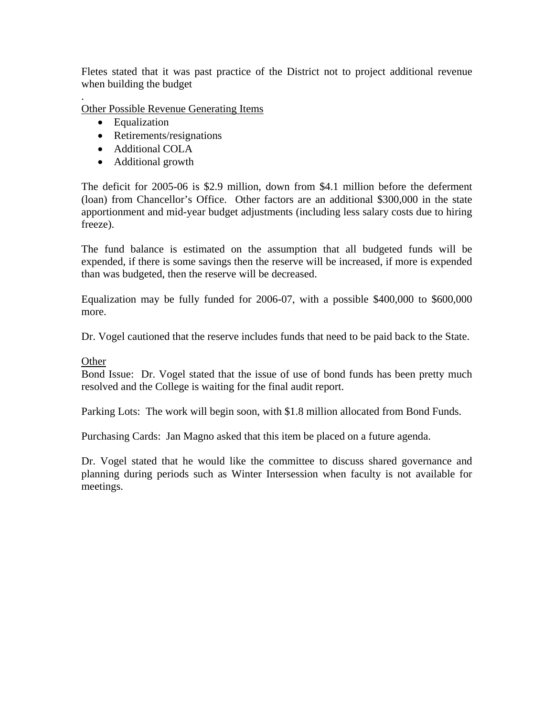Fletes stated that it was past practice of the District not to project additional revenue when building the budget

Other Possible Revenue Generating Items

• Equalization

.

- Retirements/resignations
- Additional COLA
- Additional growth

The deficit for 2005-06 is \$2.9 million, down from \$4.1 million before the deferment (loan) from Chancellor's Office. Other factors are an additional \$300,000 in the state apportionment and mid-year budget adjustments (including less salary costs due to hiring freeze).

The fund balance is estimated on the assumption that all budgeted funds will be expended, if there is some savings then the reserve will be increased, if more is expended than was budgeted, then the reserve will be decreased.

Equalization may be fully funded for 2006-07, with a possible \$400,000 to \$600,000 more.

Dr. Vogel cautioned that the reserve includes funds that need to be paid back to the State.

### **Other**

Bond Issue: Dr. Vogel stated that the issue of use of bond funds has been pretty much resolved and the College is waiting for the final audit report.

Parking Lots: The work will begin soon, with \$1.8 million allocated from Bond Funds.

Purchasing Cards: Jan Magno asked that this item be placed on a future agenda.

Dr. Vogel stated that he would like the committee to discuss shared governance and planning during periods such as Winter Intersession when faculty is not available for meetings.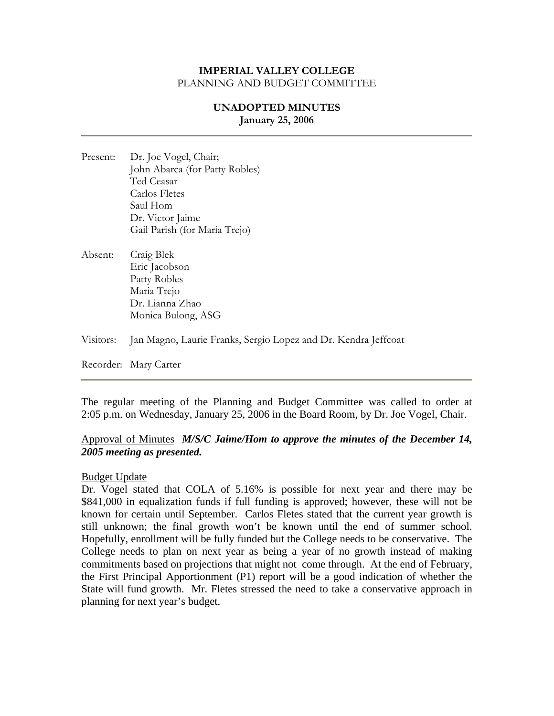# **UNADOPTED MINUTES January 25, 2006**

- Present: Dr. Joe Vogel, Chair; John Abarca (for Patty Robles) Ted Ceasar Carlos Fletes Saul Hom Dr. Victor Jaime Gail Parish (for Maria Trejo)
- Absent: Craig Blek Eric Jacobson Patty Robles Maria Trejo Dr. Lianna Zhao Monica Bulong, ASG

Visitors: Jan Magno, Laurie Franks, Sergio Lopez and Dr. Kendra Jeffcoat

Recorder: Mary Carter

The regular meeting of the Planning and Budget Committee was called to order at 2:05 p.m. on Wednesday, January 25, 2006 in the Board Room, by Dr. Joe Vogel, Chair.

# Approval of Minutes *M/S/C Jaime/Hom to approve the minutes of the December 14, 2005 meeting as presented.*

#### Budget Update

Dr. Vogel stated that COLA of 5.16% is possible for next year and there may be \$841,000 in equalization funds if full funding is approved; however, these will not be known for certain until September. Carlos Fletes stated that the current year growth is still unknown; the final growth won't be known until the end of summer school. Hopefully, enrollment will be fully funded but the College needs to be conservative. The College needs to plan on next year as being a year of no growth instead of making commitments based on projections that might not come through. At the end of February, the First Principal Apportionment (P1) report will be a good indication of whether the State will fund growth. Mr. Fletes stressed the need to take a conservative approach in planning for next year's budget.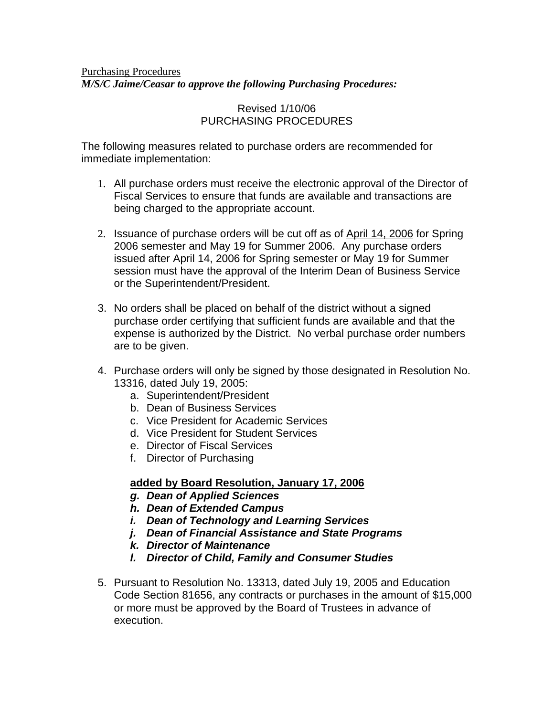# Purchasing Procedures *M/S/C Jaime/Ceasar to approve the following Purchasing Procedures:*

# Revised 1/10/06 PURCHASING PROCEDURES

The following measures related to purchase orders are recommended for immediate implementation:

- 1. All purchase orders must receive the electronic approval of the Director of Fiscal Services to ensure that funds are available and transactions are being charged to the appropriate account.
- 2. Issuance of purchase orders will be cut off as of April 14, 2006 for Spring 2006 semester and May 19 for Summer 2006. Any purchase orders issued after April 14, 2006 for Spring semester or May 19 for Summer session must have the approval of the Interim Dean of Business Service or the Superintendent/President.
- 3. No orders shall be placed on behalf of the district without a signed purchase order certifying that sufficient funds are available and that the expense is authorized by the District. No verbal purchase order numbers are to be given.
- 4. Purchase orders will only be signed by those designated in Resolution No. 13316, dated July 19, 2005:
	- a. Superintendent/President
	- b. Dean of Business Services
	- c. Vice President for Academic Services
	- d. Vice President for Student Services
	- e. Director of Fiscal Services
	- f. Director of Purchasing

# **added by Board Resolution, January 17, 2006**

- *g. Dean of Applied Sciences*
- *h. Dean of Extended Campus*
- *i. Dean of Technology and Learning Services*
- *j. Dean of Financial Assistance and State Programs*
- *k. Director of Maintenance*
- *l. Director of Child, Family and Consumer Studies*
- 5. Pursuant to Resolution No. 13313, dated July 19, 2005 and Education Code Section 81656, any contracts or purchases in the amount of \$15,000 or more must be approved by the Board of Trustees in advance of execution.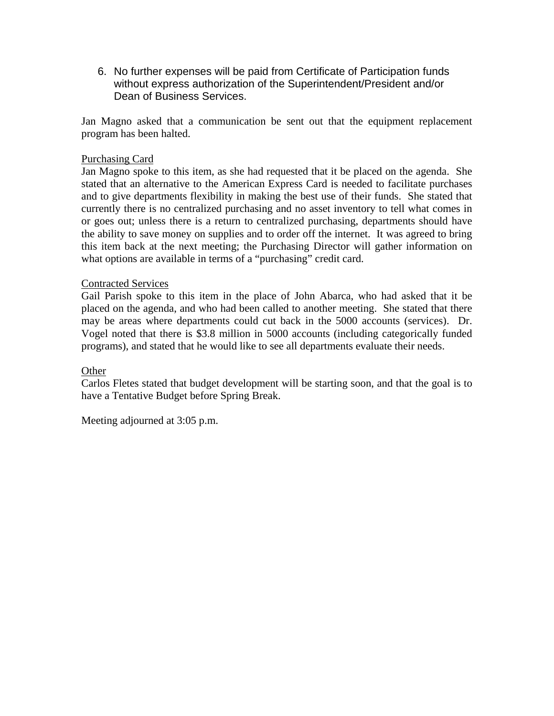6. No further expenses will be paid from Certificate of Participation funds without express authorization of the Superintendent/President and/or Dean of Business Services.

Jan Magno asked that a communication be sent out that the equipment replacement program has been halted.

## Purchasing Card

Jan Magno spoke to this item, as she had requested that it be placed on the agenda. She stated that an alternative to the American Express Card is needed to facilitate purchases and to give departments flexibility in making the best use of their funds. She stated that currently there is no centralized purchasing and no asset inventory to tell what comes in or goes out; unless there is a return to centralized purchasing, departments should have the ability to save money on supplies and to order off the internet. It was agreed to bring this item back at the next meeting; the Purchasing Director will gather information on what options are available in terms of a "purchasing" credit card.

### Contracted Services

Gail Parish spoke to this item in the place of John Abarca, who had asked that it be placed on the agenda, and who had been called to another meeting. She stated that there may be areas where departments could cut back in the 5000 accounts (services). Dr. Vogel noted that there is \$3.8 million in 5000 accounts (including categorically funded programs), and stated that he would like to see all departments evaluate their needs.

### **Other**

Carlos Fletes stated that budget development will be starting soon, and that the goal is to have a Tentative Budget before Spring Break.

Meeting adjourned at 3:05 p.m.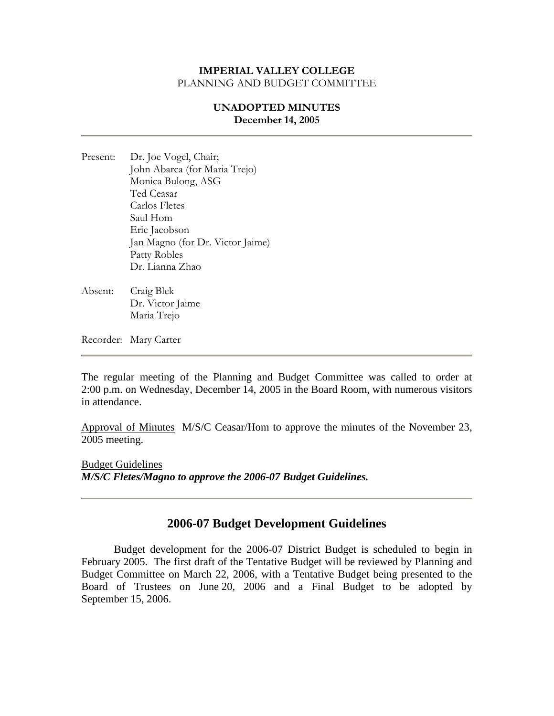### **UNADOPTED MINUTES December 14, 2005**

- Present: Dr. Joe Vogel, Chair; John Abarca (for Maria Trejo) Monica Bulong, ASG Ted Ceasar Carlos Fletes Saul Hom Eric Jacobson Jan Magno (for Dr. Victor Jaime) Patty Robles Dr. Lianna Zhao
- Absent: Craig Blek Dr. Victor Jaime Maria Trejo

Recorder: Mary Carter

The regular meeting of the Planning and Budget Committee was called to order at 2:00 p.m. on Wednesday, December 14, 2005 in the Board Room, with numerous visitors in attendance.

Approval of Minutes M/S/C Ceasar/Hom to approve the minutes of the November 23, 2005 meeting.

Budget Guidelines *M/S/C Fletes/Magno to approve the 2006-07 Budget Guidelines.* 

# **2006-07 Budget Development Guidelines**

Budget development for the 2006-07 District Budget is scheduled to begin in February 2005. The first draft of the Tentative Budget will be reviewed by Planning and Budget Committee on March 22, 2006, with a Tentative Budget being presented to the Board of Trustees on June 20, 2006 and a Final Budget to be adopted by September 15, 2006.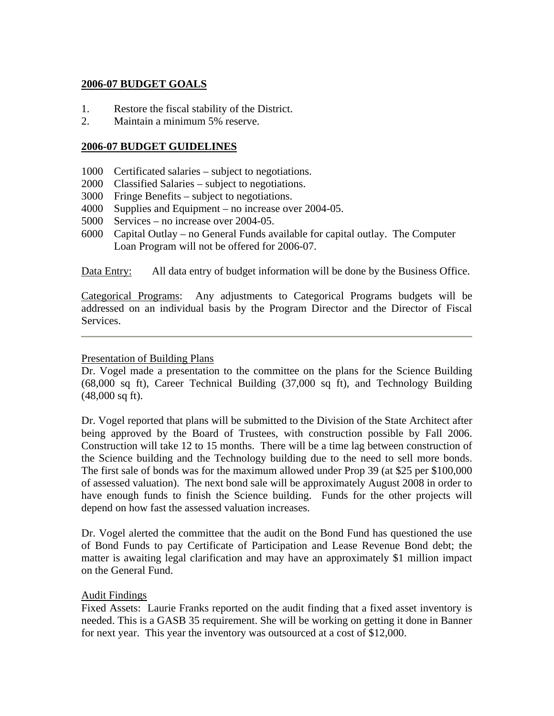# **2006-07 BUDGET GOALS**

- 1. Restore the fiscal stability of the District.
- 2. Maintain a minimum 5% reserve.

### **2006-07 BUDGET GUIDELINES**

- 1000 Certificated salaries subject to negotiations.
- 2000 Classified Salaries subject to negotiations.
- 3000 Fringe Benefits subject to negotiations.
- 4000 Supplies and Equipment no increase over 2004-05.
- 5000 Services no increase over 2004-05.
- 6000 Capital Outlay no General Funds available for capital outlay. The Computer Loan Program will not be offered for 2006-07.

Data Entry: All data entry of budget information will be done by the Business Office.

Categorical Programs: Any adjustments to Categorical Programs budgets will be addressed on an individual basis by the Program Director and the Director of Fiscal Services.

#### Presentation of Building Plans

Dr. Vogel made a presentation to the committee on the plans for the Science Building (68,000 sq ft), Career Technical Building (37,000 sq ft), and Technology Building (48,000 sq ft).

Dr. Vogel reported that plans will be submitted to the Division of the State Architect after being approved by the Board of Trustees, with construction possible by Fall 2006. Construction will take 12 to 15 months. There will be a time lag between construction of the Science building and the Technology building due to the need to sell more bonds. The first sale of bonds was for the maximum allowed under Prop 39 (at \$25 per \$100,000 of assessed valuation). The next bond sale will be approximately August 2008 in order to have enough funds to finish the Science building. Funds for the other projects will depend on how fast the assessed valuation increases.

Dr. Vogel alerted the committee that the audit on the Bond Fund has questioned the use of Bond Funds to pay Certificate of Participation and Lease Revenue Bond debt; the matter is awaiting legal clarification and may have an approximately \$1 million impact on the General Fund.

### Audit Findings

Fixed Assets: Laurie Franks reported on the audit finding that a fixed asset inventory is needed. This is a GASB 35 requirement. She will be working on getting it done in Banner for next year. This year the inventory was outsourced at a cost of \$12,000.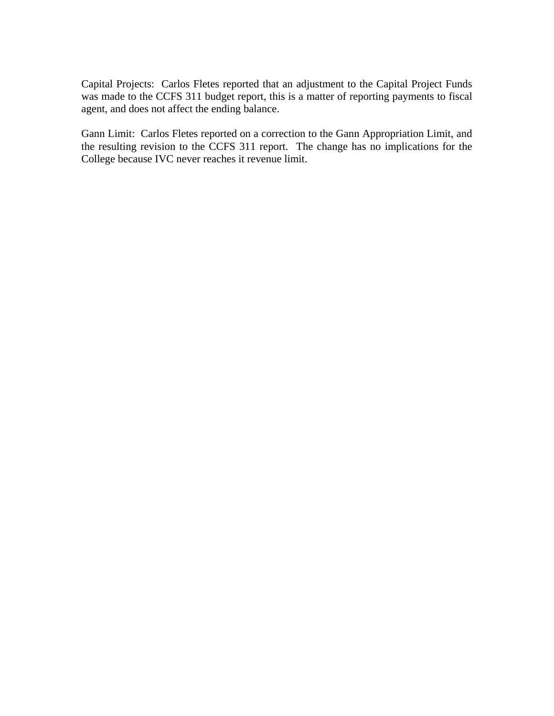Capital Projects: Carlos Fletes reported that an adjustment to the Capital Project Funds was made to the CCFS 311 budget report, this is a matter of reporting payments to fiscal agent, and does not affect the ending balance.

Gann Limit: Carlos Fletes reported on a correction to the Gann Appropriation Limit, and the resulting revision to the CCFS 311 report. The change has no implications for the College because IVC never reaches it revenue limit.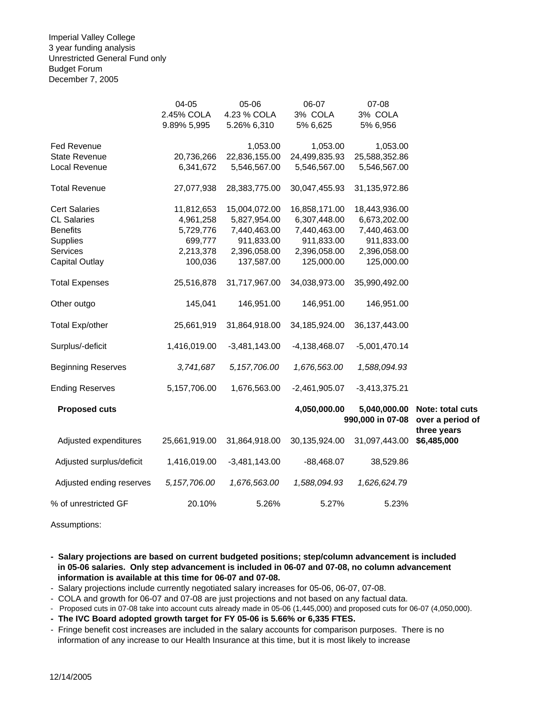Imperial Valley College 3 year funding analysis Unrestricted General Fund only Budget Forum December 7, 2005

|                           | 04-05          | 05-06           | 06-07           | 07-08                            |                                      |
|---------------------------|----------------|-----------------|-----------------|----------------------------------|--------------------------------------|
|                           | 2.45% COLA     | 4.23 % COLA     | 3% COLA         | 3% COLA                          |                                      |
|                           | 9.89% 5,995    | 5.26% 6,310     | 5% 6,625        | 5% 6,956                         |                                      |
| Fed Revenue               |                | 1,053.00        | 1,053.00        | 1,053.00                         |                                      |
| <b>State Revenue</b>      | 20,736,266     | 22,836,155.00   | 24,499,835.93   | 25,588,352.86                    |                                      |
| Local Revenue             | 6,341,672      | 5,546,567.00    | 5,546,567.00    | 5,546,567.00                     |                                      |
| <b>Total Revenue</b>      | 27,077,938     | 28,383,775.00   | 30,047,455.93   | 31,135,972.86                    |                                      |
| <b>Cert Salaries</b>      | 11,812,653     | 15,004,072.00   | 16,858,171.00   | 18,443,936.00                    |                                      |
| <b>CL Salaries</b>        | 4,961,258      | 5,827,954.00    | 6,307,448.00    | 6,673,202.00                     |                                      |
| <b>Benefits</b>           | 5,729,776      | 7,440,463.00    | 7,440,463.00    | 7,440,463.00                     |                                      |
| <b>Supplies</b>           | 699,777        | 911,833.00      | 911,833.00      | 911,833.00                       |                                      |
| Services                  | 2,213,378      | 2,396,058.00    | 2,396,058.00    | 2,396,058.00                     |                                      |
| <b>Capital Outlay</b>     | 100,036        | 137,587.00      | 125,000.00      | 125,000.00                       |                                      |
| <b>Total Expenses</b>     | 25,516,878     | 31,717,967.00   | 34,038,973.00   | 35,990,492.00                    |                                      |
| Other outgo               | 145,041        | 146,951.00      | 146,951.00      | 146,951.00                       |                                      |
| <b>Total Exp/other</b>    | 25,661,919     | 31,864,918.00   | 34,185,924.00   | 36, 137, 443.00                  |                                      |
| Surplus/-deficit          | 1,416,019.00   | $-3,481,143.00$ | $-4,138,468.07$ | $-5,001,470.14$                  |                                      |
| <b>Beginning Reserves</b> | 3,741,687      | 5, 157, 706.00  | 1,676,563.00    | 1,588,094.93                     |                                      |
| <b>Ending Reserves</b>    | 5,157,706.00   | 1,676,563.00    | $-2,461,905.07$ | $-3,413,375.21$                  |                                      |
| <b>Proposed cuts</b>      |                |                 | 4,050,000.00    | 5,040,000.00<br>990,000 in 07-08 | Note: total cuts<br>over a period of |
| Adjusted expenditures     | 25,661,919.00  | 31,864,918.00   | 30,135,924.00   | 31,097,443.00                    | three years<br>\$6,485,000           |
| Adjusted surplus/deficit  | 1,416,019.00   | $-3,481,143.00$ | $-88,468.07$    | 38,529.86                        |                                      |
| Adjusted ending reserves  | 5, 157, 706.00 | 1,676,563.00    | 1,588,094.93    | 1,626,624.79                     |                                      |
| % of unrestricted GF      | 20.10%         | 5.26%           | 5.27%           | 5.23%                            |                                      |

Assumptions:

**- Salary projections are based on current budgeted positions; step/column advancement is included in 05-06 salaries. Only step advancement is included in 06-07 and 07-08, no column advancement information is available at this time for 06-07 and 07-08.**

- Salary projections include currently negotiated salary increases for 05-06, 06-07, 07-08.

- COLA and growth for 06-07 and 07-08 are just projections and not based on any factual data.

- Proposed cuts in 07-08 take into account cuts already made in 05-06 (1,445,000) and proposed cuts for 06-07 (4,050,000).

**- The IVC Board adopted growth target for FY 05-06 is 5.66% or 6,335 FTES.**

- Fringe benefit cost increases are included in the salary accounts for comparison purposes. There is no information of any increase to our Health Insurance at this time, but it is most likely to increase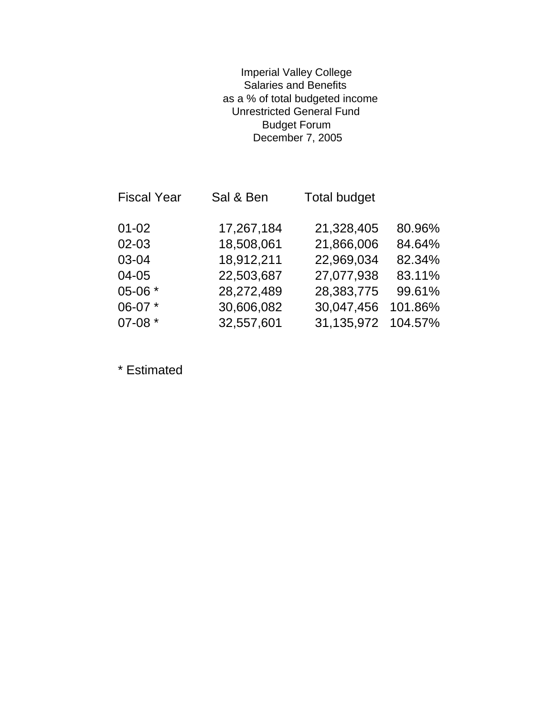# Imperial Valley College Salaries and Benefits as a % of total budgeted income Unrestricted General Fund Budget Forum December 7, 2005

| <b>Fiscal Year</b> | Sal & Ben  | <b>Total budget</b> |         |
|--------------------|------------|---------------------|---------|
| $01 - 02$          | 17,267,184 | 21,328,405          | 80.96%  |
| 02-03              | 18,508,061 | 21,866,006          | 84.64%  |
| 03-04              | 18,912,211 | 22,969,034          | 82.34%  |
| 04-05              | 22,503,687 | 27,077,938          | 83.11%  |
| 05-06 *            | 28,272,489 | 28,383,775          | 99.61%  |
| 06-07 *            | 30,606,082 | 30,047,456          | 101.86% |
| 07-08 *            | 32,557,601 | 31,135,972          | 104.57% |

\* Estimated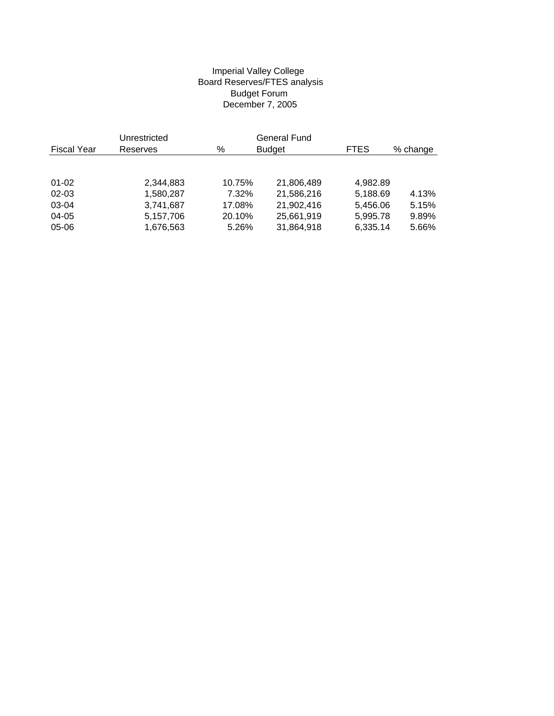#### Imperial Valley College Board Reserves/FTES analysis Budget Forum December 7, 2005

|             | Unrestricted |        | <b>General Fund</b> |             |          |
|-------------|--------------|--------|---------------------|-------------|----------|
| Fiscal Year | Reserves     | %      | <b>Budget</b>       | <b>FTES</b> | % change |
|             |              |        |                     |             |          |
|             |              |        |                     |             |          |
| $01 - 02$   | 2,344,883    | 10.75% | 21,806,489          | 4,982.89    |          |
| $02 - 03$   | 1,580,287    | 7.32%  | 21,586,216          | 5,188.69    | 4.13%    |
| 03-04       | 3.741.687    | 17.08% | 21,902,416          | 5,456.06    | 5.15%    |
| 04-05       | 5,157,706    | 20.10% | 25,661,919          | 5,995.78    | 9.89%    |
| 05-06       | 1,676,563    | 5.26%  | 31,864,918          | 6,335.14    | 5.66%    |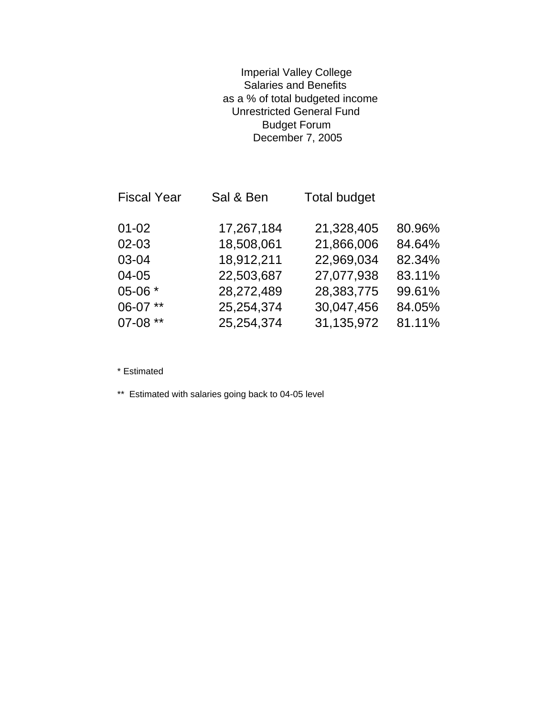# Imperial Valley College Salaries and Benefits as a % of total budgeted income Unrestricted General Fund Budget Forum December 7, 2005

| <b>Fiscal Year</b> | Sal & Ben  | <b>Total budget</b> |        |
|--------------------|------------|---------------------|--------|
| $01 - 02$          | 17,267,184 | 21,328,405          | 80.96% |
| $02 - 03$          | 18,508,061 | 21,866,006          | 84.64% |
| 03-04              | 18,912,211 | 22,969,034          | 82.34% |
| 04-05              | 22,503,687 | 27,077,938          | 83.11% |
| 05-06 *            | 28,272,489 | 28,383,775          | 99.61% |
| 06-07 **           | 25,254,374 | 30,047,456          | 84.05% |
| 07-08 **           | 25,254,374 | 31,135,972          | 81.11% |

\* Estimated

\*\* Estimated with salaries going back to 04-05 level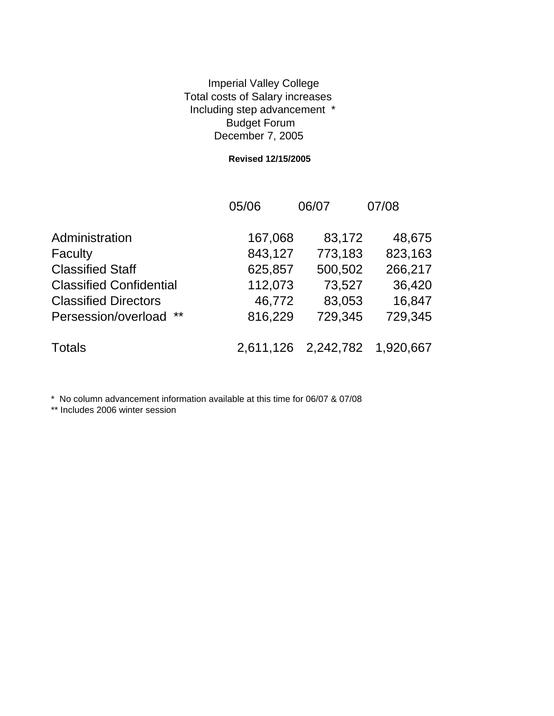# Imperial Valley College Total costs of Salary increases Including step advancement \* Budget Forum December 7, 2005

#### **Revised 12/15/2005**

|                                | 05/06     | 06/07     | 07/08     |
|--------------------------------|-----------|-----------|-----------|
| Administration                 | 167,068   | 83,172    | 48,675    |
| Faculty                        | 843,127   | 773,183   | 823,163   |
| <b>Classified Staff</b>        | 625,857   | 500,502   | 266,217   |
| <b>Classified Confidential</b> | 112,073   | 73,527    | 36,420    |
| <b>Classified Directors</b>    | 46,772    | 83,053    | 16,847    |
| **<br>Persession/overload      | 816,229   | 729,345   | 729,345   |
| <b>Totals</b>                  | 2,611,126 | 2,242,782 | 1,920,667 |

\* No column advancement information available at this time for 06/07 & 07/08

\*\* Includes 2006 winter session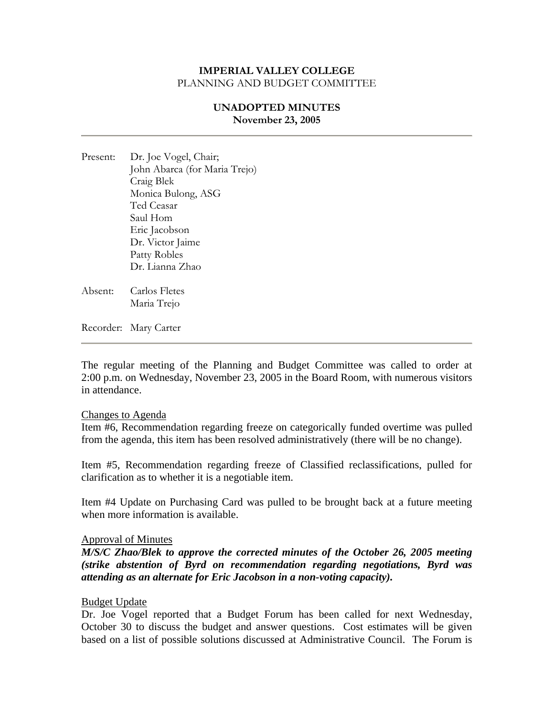## **UNADOPTED MINUTES November 23, 2005**

- Present: Dr. Joe Vogel, Chair; John Abarca (for Maria Trejo) Craig Blek Monica Bulong, ASG Ted Ceasar Saul Hom Eric Jacobson Dr. Victor Jaime Patty Robles Dr. Lianna Zhao
- Absent: Carlos Fletes Maria Trejo

Recorder: Mary Carter

The regular meeting of the Planning and Budget Committee was called to order at 2:00 p.m. on Wednesday, November 23, 2005 in the Board Room, with numerous visitors in attendance.

#### Changes to Agenda

Item #6, Recommendation regarding freeze on categorically funded overtime was pulled from the agenda, this item has been resolved administratively (there will be no change).

Item #5, Recommendation regarding freeze of Classified reclassifications, pulled for clarification as to whether it is a negotiable item.

Item #4 Update on Purchasing Card was pulled to be brought back at a future meeting when more information is available.

#### Approval of Minutes

*M/S/C Zhao/Blek to approve the corrected minutes of the October 26, 2005 meeting (strike abstention of Byrd on recommendation regarding negotiations, Byrd was attending as an alternate for Eric Jacobson in a non-voting capacity).* 

#### Budget Update

Dr. Joe Vogel reported that a Budget Forum has been called for next Wednesday, October 30 to discuss the budget and answer questions. Cost estimates will be given based on a list of possible solutions discussed at Administrative Council. The Forum is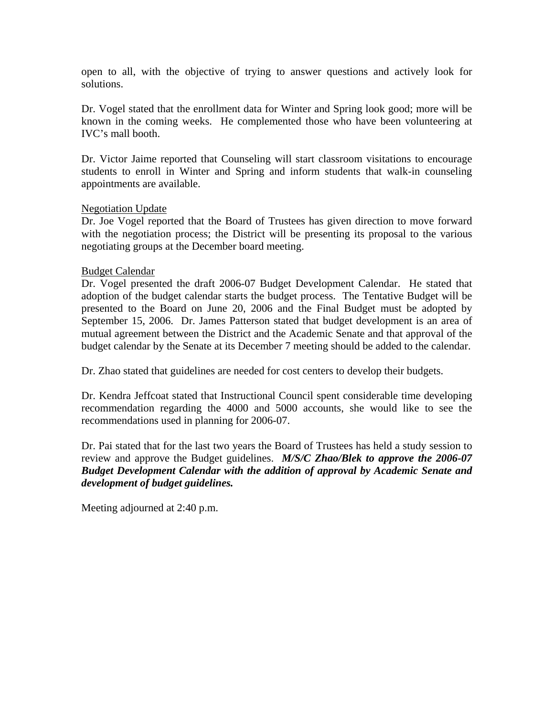open to all, with the objective of trying to answer questions and actively look for solutions.

Dr. Vogel stated that the enrollment data for Winter and Spring look good; more will be known in the coming weeks. He complemented those who have been volunteering at IVC's mall booth.

Dr. Victor Jaime reported that Counseling will start classroom visitations to encourage students to enroll in Winter and Spring and inform students that walk-in counseling appointments are available.

### Negotiation Update

Dr. Joe Vogel reported that the Board of Trustees has given direction to move forward with the negotiation process; the District will be presenting its proposal to the various negotiating groups at the December board meeting.

### Budget Calendar

Dr. Vogel presented the draft 2006-07 Budget Development Calendar. He stated that adoption of the budget calendar starts the budget process. The Tentative Budget will be presented to the Board on June 20, 2006 and the Final Budget must be adopted by September 15, 2006. Dr. James Patterson stated that budget development is an area of mutual agreement between the District and the Academic Senate and that approval of the budget calendar by the Senate at its December 7 meeting should be added to the calendar.

Dr. Zhao stated that guidelines are needed for cost centers to develop their budgets.

Dr. Kendra Jeffcoat stated that Instructional Council spent considerable time developing recommendation regarding the 4000 and 5000 accounts, she would like to see the recommendations used in planning for 2006-07.

Dr. Pai stated that for the last two years the Board of Trustees has held a study session to review and approve the Budget guidelines. *M/S/C Zhao/Blek to approve the 2006-07 Budget Development Calendar with the addition of approval by Academic Senate and development of budget guidelines.*

Meeting adjourned at 2:40 p.m.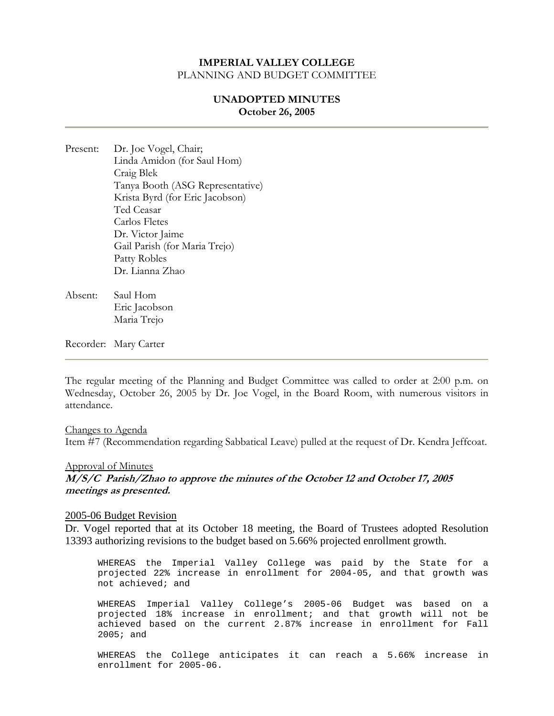### **UNADOPTED MINUTES October 26, 2005**

- Present: Dr. Joe Vogel, Chair; Linda Amidon (for Saul Hom) Craig Blek Tanya Booth (ASG Representative) Krista Byrd (for Eric Jacobson) Ted Ceasar Carlos Fletes Dr. Victor Jaime Gail Parish (for Maria Trejo) Patty Robles Dr. Lianna Zhao
- Absent: Saul Hom Eric Jacobson Maria Trejo

Recorder: Mary Carter

The regular meeting of the Planning and Budget Committee was called to order at 2:00 p.m. on Wednesday, October 26, 2005 by Dr. Joe Vogel, in the Board Room, with numerous visitors in attendance.

Changes to Agenda Item #7 (Recommendation regarding Sabbatical Leave) pulled at the request of Dr. Kendra Jeffcoat.

#### Approval of Minutes

**M/S/C Parish/Zhao to approve the minutes of the October 12 and October 17, 2005 meetings as presented.**

#### 2005-06 Budget Revision

Dr. Vogel reported that at its October 18 meeting, the Board of Trustees adopted Resolution 13393 authorizing revisions to the budget based on 5.66% projected enrollment growth.

WHEREAS the Imperial Valley College was paid by the State for a projected 22% increase in enrollment for 2004-05, and that growth was not achieved; and

WHEREAS Imperial Valley College's 2005-06 Budget was based on a projected 18% increase in enrollment; and that growth will not be achieved based on the current 2.87% increase in enrollment for Fall 2005; and

WHEREAS the College anticipates it can reach a 5.66% increase in enrollment for 2005-06.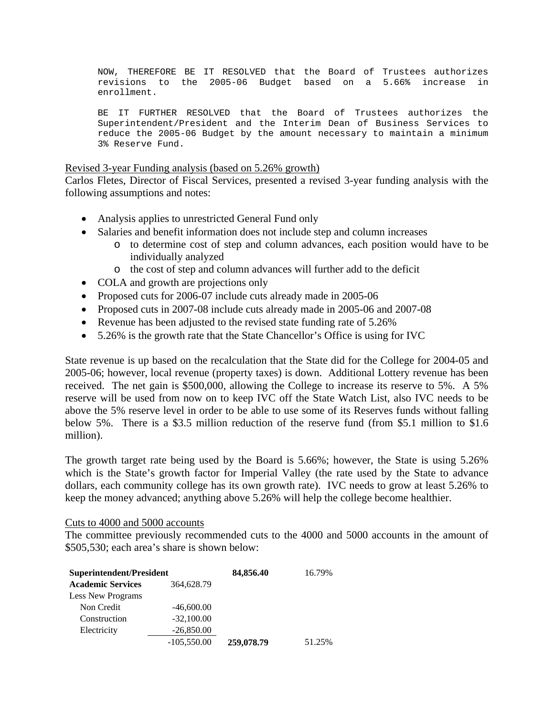NOW, THEREFORE BE IT RESOLVED that the Board of Trustees authorizes revisions to the 2005-06 Budget based on a 5.66% increase in enrollment.

BE IT FURTHER RESOLVED that the Board of Trustees authorizes the Superintendent/President and the Interim Dean of Business Services to reduce the 2005-06 Budget by the amount necessary to maintain a minimum 3% Reserve Fund.

#### Revised 3-year Funding analysis (based on 5.26% growth)

Carlos Fletes, Director of Fiscal Services, presented a revised 3-year funding analysis with the following assumptions and notes:

- Analysis applies to unrestricted General Fund only
- Salaries and benefit information does not include step and column increases
	- o to determine cost of step and column advances, each position would have to be individually analyzed
	- o the cost of step and column advances will further add to the deficit
- COLA and growth are projections only
- Proposed cuts for 2006-07 include cuts already made in 2005-06
- Proposed cuts in 2007-08 include cuts already made in 2005-06 and 2007-08
- Revenue has been adjusted to the revised state funding rate of 5.26%
- 5.26% is the growth rate that the State Chancellor's Office is using for IVC

State revenue is up based on the recalculation that the State did for the College for 2004-05 and 2005-06; however, local revenue (property taxes) is down. Additional Lottery revenue has been received. The net gain is \$500,000, allowing the College to increase its reserve to 5%. A 5% reserve will be used from now on to keep IVC off the State Watch List, also IVC needs to be above the 5% reserve level in order to be able to use some of its Reserves funds without falling below 5%. There is a \$3.5 million reduction of the reserve fund (from \$5.1 million to \$1.6 million).

The growth target rate being used by the Board is 5.66%; however, the State is using 5.26% which is the State's growth factor for Imperial Valley (the rate used by the State to advance dollars, each community college has its own growth rate). IVC needs to grow at least 5.26% to keep the money advanced; anything above 5.26% will help the college become healthier.

#### Cuts to 4000 and 5000 accounts

The committee previously recommended cuts to the 4000 and 5000 accounts in the amount of \$505,530; each area's share is shown below:

| Superintendent/President |               | 84,856.40  | 16.79% |
|--------------------------|---------------|------------|--------|
| <b>Academic Services</b> | 364,628.79    |            |        |
| Less New Programs        |               |            |        |
| Non Credit               | $-46,600.00$  |            |        |
| Construction             | $-32,100,00$  |            |        |
| Electricity              | $-26,850.00$  |            |        |
|                          | $-105,550.00$ | 259,078.79 | 51.25% |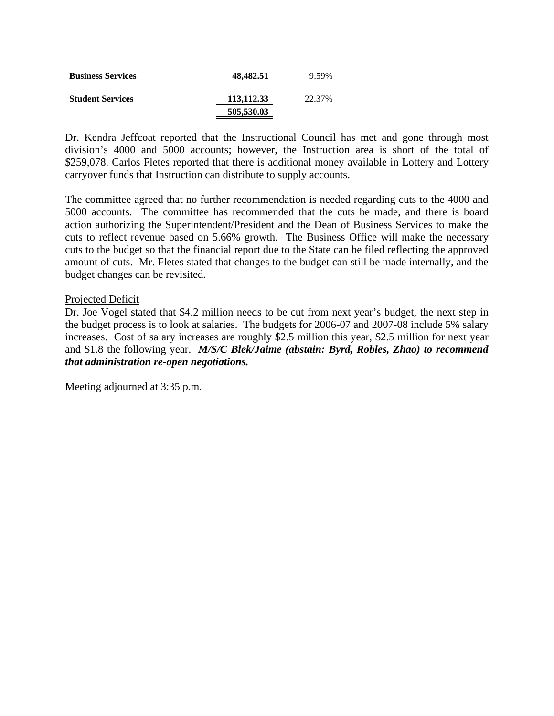| <b>Business Services</b> | 48,482.51  | 9.59%  |
|--------------------------|------------|--------|
| <b>Student Services</b>  | 113,112.33 | 22.37% |
|                          | 505,530.03 |        |

Dr. Kendra Jeffcoat reported that the Instructional Council has met and gone through most division's 4000 and 5000 accounts; however, the Instruction area is short of the total of \$259,078. Carlos Fletes reported that there is additional money available in Lottery and Lottery carryover funds that Instruction can distribute to supply accounts.

The committee agreed that no further recommendation is needed regarding cuts to the 4000 and 5000 accounts. The committee has recommended that the cuts be made, and there is board action authorizing the Superintendent/President and the Dean of Business Services to make the cuts to reflect revenue based on 5.66% growth. The Business Office will make the necessary cuts to the budget so that the financial report due to the State can be filed reflecting the approved amount of cuts. Mr. Fletes stated that changes to the budget can still be made internally, and the budget changes can be revisited.

### Projected Deficit

Dr. Joe Vogel stated that \$4.2 million needs to be cut from next year's budget, the next step in the budget process is to look at salaries. The budgets for 2006-07 and 2007-08 include 5% salary increases. Cost of salary increases are roughly \$2.5 million this year, \$2.5 million for next year and \$1.8 the following year. *M/S/C Blek/Jaime (abstain: Byrd, Robles, Zhao) to recommend that administration re-open negotiations.*

Meeting adjourned at 3:35 p.m.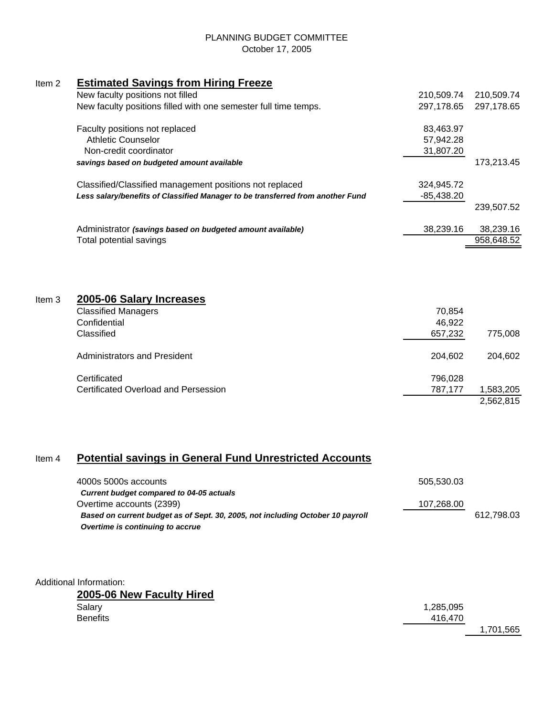#### PLANNING BUDGET COMMITTEE October 17, 2005

# Item 2 **Estimated Savings from Hiring Freeze**

|                   | New faculty positions not filled                                               | 210,509.74 | 210,509.74 |
|-------------------|--------------------------------------------------------------------------------|------------|------------|
|                   | New faculty positions filled with one semester full time temps.                | 297,178.65 | 297,178.65 |
|                   | Faculty positions not replaced                                                 | 83,463.97  |            |
|                   | <b>Athletic Counselor</b>                                                      | 57,942.28  |            |
|                   | Non-credit coordinator                                                         | 31,807.20  |            |
|                   | savings based on budgeted amount available                                     |            | 173,213.45 |
|                   | Classified/Classified management positions not replaced                        | 324,945.72 |            |
|                   | Less salary/benefits of Classified Manager to be transferred from another Fund | -85,438.20 |            |
|                   |                                                                                |            | 239,507.52 |
|                   | Administrator (savings based on budgeted amount available)                     | 38,239.16  | 38,239.16  |
|                   | Total potential savings                                                        |            | 958,648.52 |
|                   |                                                                                |            |            |
| Item <sub>3</sub> | 2005-06 Salary Increases                                                       |            |            |
|                   | <b>Classified Managers</b>                                                     | 70,854     |            |
|                   | Confidential                                                                   | 46,922     |            |
|                   | Classified                                                                     | 657,232    | 775,008    |
|                   | <b>Administrators and President</b>                                            | 204,602    | 204,602    |
|                   | Certificated                                                                   | 796,028    |            |
|                   | <b>Certificated Overload and Persession</b>                                    | 787,177    | 1,583,205  |
|                   |                                                                                |            | 2,562,815  |

# Item 4 **Potential savings in General Fund Unrestricted Accounts**

| 4000s 5000s accounts                                                           | 505.530.03 |            |
|--------------------------------------------------------------------------------|------------|------------|
| Current budget compared to 04-05 actuals                                       |            |            |
| Overtime accounts (2399)                                                       | 107,268.00 |            |
| Based on current budget as of Sept. 30, 2005, not including October 10 payroll |            | 612.798.03 |
| Overtime is continuing to accrue                                               |            |            |

Additional Information:

| 2005-06 New Faculty Hired |           |
|---------------------------|-----------|
| Salary                    | 1,285,095 |
| <b>Benefits</b>           | 416.470   |
|                           | 1,701,565 |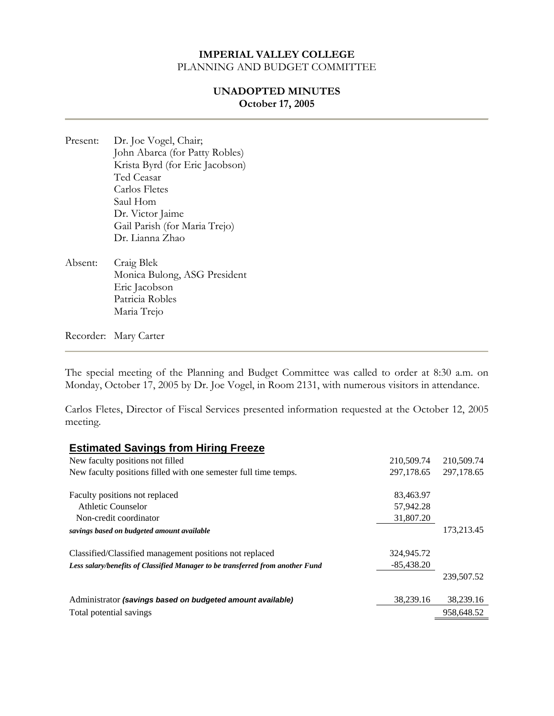#### **UNADOPTED MINUTES October 17, 2005**

- Present: Dr. Joe Vogel, Chair; John Abarca (for Patty Robles) Krista Byrd (for Eric Jacobson) Ted Ceasar Carlos Fletes Saul Hom Dr. Victor Jaime Gail Parish (for Maria Trejo) Dr. Lianna Zhao
- Absent: Craig Blek Monica Bulong, ASG President Eric Jacobson Patricia Robles Maria Trejo

Recorder: Mary Carter

The special meeting of the Planning and Budget Committee was called to order at 8:30 a.m. on Monday, October 17, 2005 by Dr. Joe Vogel, in Room 2131, with numerous visitors in attendance.

Carlos Fletes, Director of Fiscal Services presented information requested at the October 12, 2005 meeting.

#### **Estimated Savings from Hiring Freeze**

| New faculty positions not filled                                               | 210,509.74   | 210,509.74 |
|--------------------------------------------------------------------------------|--------------|------------|
| New faculty positions filled with one semester full time temps.                | 297,178.65   | 297,178.65 |
|                                                                                |              |            |
| Faculty positions not replaced                                                 | 83,463.97    |            |
| Athletic Counselor                                                             | 57,942.28    |            |
| Non-credit coordinator                                                         | 31,807.20    |            |
| savings based on budgeted amount available                                     |              | 173,213.45 |
| Classified/Classified management positions not replaced                        | 324,945.72   |            |
| Less salary/benefits of Classified Manager to be transferred from another Fund | $-85,438.20$ |            |
|                                                                                |              | 239,507.52 |
| Administrator (savings based on budgeted amount available)                     | 38,239.16    | 38,239.16  |
| Total potential savings                                                        |              | 958,648.52 |
|                                                                                |              |            |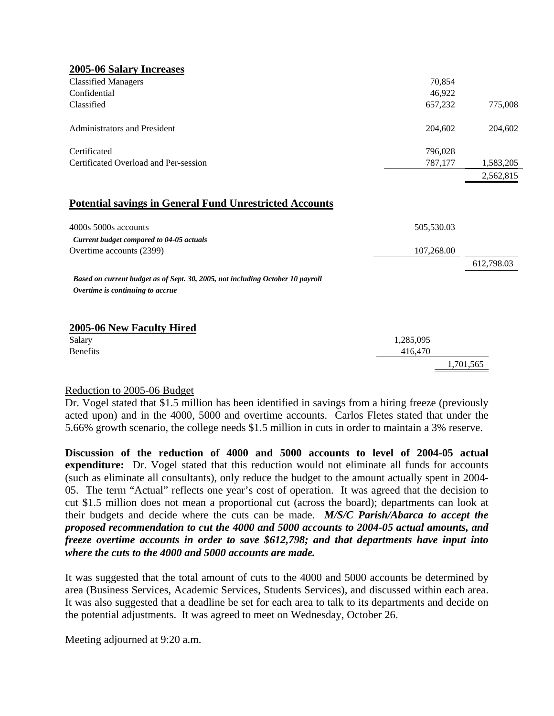| 70,854     |                      |
|------------|----------------------|
| 46,922     |                      |
| 657,232    | 775,008              |
| 204,602    | 204,602              |
| 796,028    |                      |
| 787,177    | 1,583,205            |
|            | 2,562,815            |
|            |                      |
| 505,530.03 |                      |
|            |                      |
| 107,268.00 |                      |
|            | 612,798.03           |
|            |                      |
|            |                      |
|            |                      |
|            |                      |
|            | 1.701.565            |
|            | 1,285,095<br>416,470 |

### Reduction to 2005-06 Budget

Dr. Vogel stated that \$1.5 million has been identified in savings from a hiring freeze (previously acted upon) and in the 4000, 5000 and overtime accounts. Carlos Fletes stated that under the 5.66% growth scenario, the college needs \$1.5 million in cuts in order to maintain a 3% reserve.

**Discussion of the reduction of 4000 and 5000 accounts to level of 2004-05 actual expenditure:** Dr. Vogel stated that this reduction would not eliminate all funds for accounts (such as eliminate all consultants), only reduce the budget to the amount actually spent in 2004- 05. The term "Actual" reflects one year's cost of operation. It was agreed that the decision to cut \$1.5 million does not mean a proportional cut (across the board); departments can look at their budgets and decide where the cuts can be made. *M/S/C Parish/Abarca to accept the proposed recommendation to cut the 4000 and 5000 accounts to 2004-05 actual amounts, and freeze overtime accounts in order to save \$612,798; and that departments have input into where the cuts to the 4000 and 5000 accounts are made.* 

It was suggested that the total amount of cuts to the 4000 and 5000 accounts be determined by area (Business Services, Academic Services, Students Services), and discussed within each area. It was also suggested that a deadline be set for each area to talk to its departments and decide on the potential adjustments. It was agreed to meet on Wednesday, October 26.

Meeting adjourned at 9:20 a.m.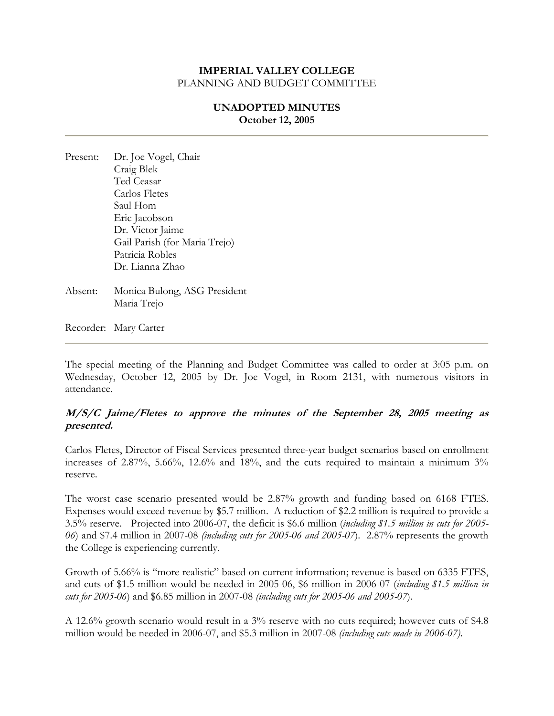# **UNADOPTED MINUTES October 12, 2005**

- Present: Dr. Joe Vogel, Chair Craig Blek Ted Ceasar Carlos Fletes Saul Hom Eric Jacobson Dr. Victor Jaime Gail Parish (for Maria Trejo) Patricia Robles Dr. Lianna Zhao
- Absent: Monica Bulong, ASG President Maria Trejo

Recorder: Mary Carter

The special meeting of the Planning and Budget Committee was called to order at 3:05 p.m. on Wednesday, October 12, 2005 by Dr. Joe Vogel, in Room 2131, with numerous visitors in attendance.

# **M/S/C Jaime/Fletes to approve the minutes of the September 28, 2005 meeting as presented.**

Carlos Fletes, Director of Fiscal Services presented three-year budget scenarios based on enrollment increases of 2.87%, 5.66%, 12.6% and 18%, and the cuts required to maintain a minimum 3% reserve.

The worst case scenario presented would be 2.87% growth and funding based on 6168 FTES. Expenses would exceed revenue by \$5.7 million. A reduction of \$2.2 million is required to provide a 3.5% reserve. Projected into 2006-07, the deficit is \$6.6 million (*including \$1.5 million in cuts for 2005- 06*) and \$7.4 million in 2007-08 *(including cuts for 2005-06 and 2005-07*). 2.87% represents the growth the College is experiencing currently.

Growth of 5.66% is "more realistic" based on current information; revenue is based on 6335 FTES, and cuts of \$1.5 million would be needed in 2005-06, \$6 million in 2006-07 (*including \$1.5 million in cuts for 2005-06*) and \$6.85 million in 2007-08 *(including cuts for 2005-06 and 2005-07*).

A 12.6% growth scenario would result in a 3% reserve with no cuts required; however cuts of \$4.8 million would be needed in 2006-07, and \$5.3 million in 2007-08 *(including cuts made in 2006-07)*.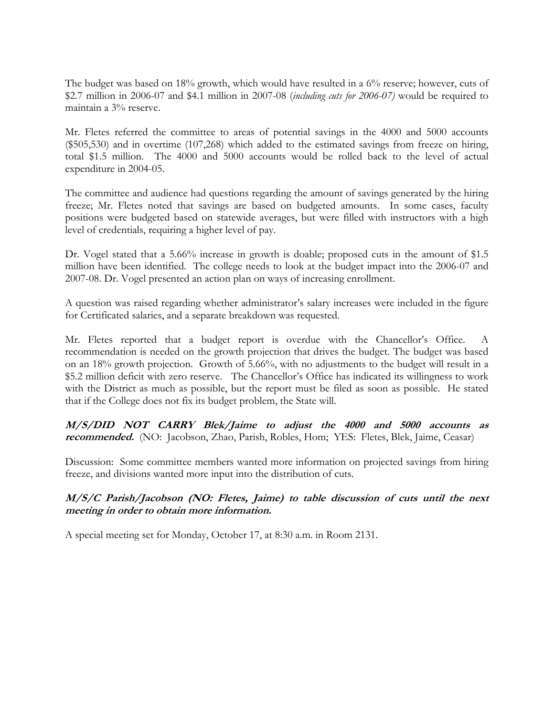The budget was based on 18% growth, which would have resulted in a 6% reserve; however, cuts of \$2.7 million in 2006-07 and \$4.1 million in 2007-08 (*including cuts for 2006-07)* would be required to maintain a 3% reserve.

Mr. Fletes referred the committee to areas of potential savings in the 4000 and 5000 accounts (\$505,530) and in overtime (107,268) which added to the estimated savings from freeze on hiring, total \$1.5 million. The 4000 and 5000 accounts would be rolled back to the level of actual expenditure in 2004-05.

The committee and audience had questions regarding the amount of savings generated by the hiring freeze; Mr. Fletes noted that savings are based on budgeted amounts. In some cases, faculty positions were budgeted based on statewide averages, but were filled with instructors with a high level of credentials, requiring a higher level of pay.

Dr. Vogel stated that a 5.66% increase in growth is doable; proposed cuts in the amount of \$1.5 million have been identified. The college needs to look at the budget impact into the 2006-07 and 2007-08. Dr. Vogel presented an action plan on ways of increasing enrollment.

A question was raised regarding whether administrator's salary increases were included in the figure for Certificated salaries, and a separate breakdown was requested.

Mr. Fletes reported that a budget report is overdue with the Chancellor's Office. A recommendation is needed on the growth projection that drives the budget. The budget was based on an 18% growth projection. Growth of 5.66%, with no adjustments to the budget will result in a \$5.2 million deficit with zero reserve. The Chancellor's Office has indicated its willingness to work with the District as much as possible, but the report must be filed as soon as possible. He stated that if the College does not fix its budget problem, the State will.

**M/S/DID NOT CARRY Blek/Jaime to adjust the 4000 and 5000 accounts as recommended.** (NO: Jacobson, Zhao, Parish, Robles, Hom; YES: Fletes, Blek, Jaime, Ceasar)

Discussion: Some committee members wanted more information on projected savings from hiring freeze, and divisions wanted more input into the distribution of cuts.

# **M/S/C Parish/Jacobson (NO: Fletes, Jaime) to table discussion of cuts until the next meeting in order to obtain more information.**

A special meeting set for Monday, October 17, at 8:30 a.m. in Room 2131.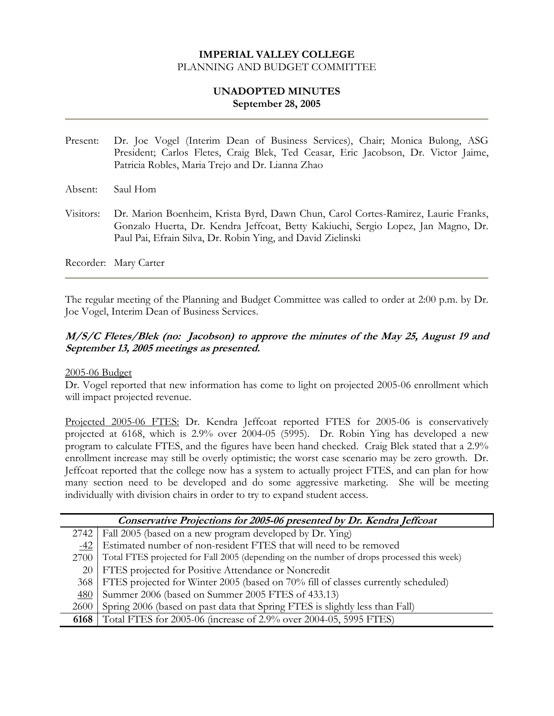# **UNADOPTED MINUTES September 28, 2005**

- Present: Dr. Joe Vogel (Interim Dean of Business Services), Chair; Monica Bulong, ASG President; Carlos Fletes, Craig Blek, Ted Ceasar, Eric Jacobson, Dr. Victor Jaime, Patricia Robles, Maria Trejo and Dr. Lianna Zhao
- Absent: Saul Hom
- Visitors: Dr. Marion Boenheim, Krista Byrd, Dawn Chun, Carol Cortes-Ramirez, Laurie Franks, Gonzalo Huerta, Dr. Kendra Jeffcoat, Betty Kakiuchi, Sergio Lopez, Jan Magno, Dr. Paul Pai, Efrain Silva, Dr. Robin Ying, and David Zielinski

Recorder: Mary Carter

The regular meeting of the Planning and Budget Committee was called to order at 2:00 p.m. by Dr. Joe Vogel, Interim Dean of Business Services.

# **M/S/C Fletes/Blek (no: Jacobson) to approve the minutes of the May 25, August 19 and September 13, 2005 meetings as presented.**

#### 2005-06 Budget

Dr. Vogel reported that new information has come to light on projected 2005-06 enrollment which will impact projected revenue.

Projected 2005-06 FTES: Dr. Kendra Jeffcoat reported FTES for 2005-06 is conservatively projected at 6168, which is 2.9% over 2004-05 (5995). Dr. Robin Ying has developed a new program to calculate FTES, and the figures have been hand checked. Craig Blek stated that a 2.9% enrollment increase may still be overly optimistic; the worst case scenario may be zero growth. Dr. Jeffcoat reported that the college now has a system to actually project FTES, and can plan for how many section need to be developed and do some aggressive marketing. She will be meeting individually with division chairs in order to try to expand student access.

| Conservative Projections for 2005-06 presented by Dr. Kendra Jeffcoat |                                                                                           |  |  |  |  |
|-----------------------------------------------------------------------|-------------------------------------------------------------------------------------------|--|--|--|--|
| 2742                                                                  | Fall 2005 (based on a new program developed by Dr. Ying)                                  |  |  |  |  |
| -42                                                                   | Estimated number of non-resident FTES that will need to be removed                        |  |  |  |  |
| 2700                                                                  | Total FTES projected for Fall 2005 (depending on the number of drops processed this week) |  |  |  |  |
|                                                                       | 20   FTES projected for Positive Attendance or Noncredit                                  |  |  |  |  |
| 368                                                                   | FTES projected for Winter 2005 (based on 70% fill of classes currently scheduled)         |  |  |  |  |
| <u>480</u>                                                            | Summer 2006 (based on Summer 2005 FTES of 433.13)                                         |  |  |  |  |
| 2600                                                                  | Spring 2006 (based on past data that Spring FTES is slightly less than Fall)              |  |  |  |  |
| 6168                                                                  | Total FTES for 2005-06 (increase of 2.9% over 2004-05, 5995 FTES)                         |  |  |  |  |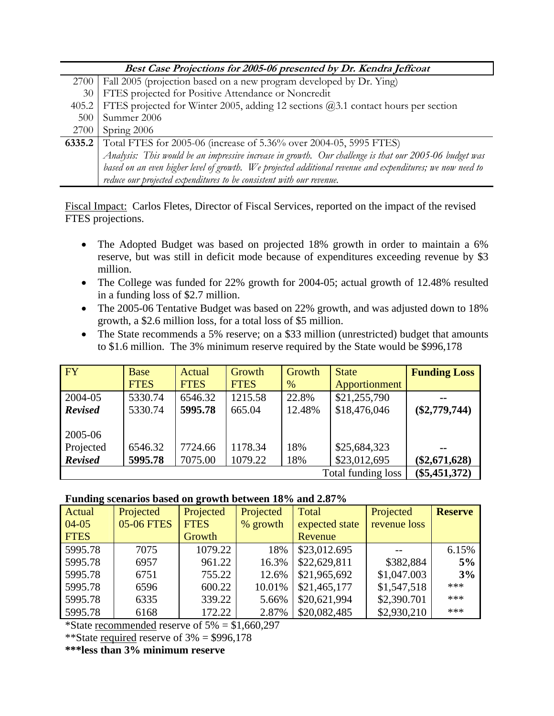| Best Case Projections for 2005-06 presented by Dr. Kendra Jeffcoat |                                                                                                           |  |  |  |  |
|--------------------------------------------------------------------|-----------------------------------------------------------------------------------------------------------|--|--|--|--|
| 2700                                                               | Fall 2005 (projection based on a new program developed by Dr. Ying)                                       |  |  |  |  |
| 30                                                                 | FTES projected for Positive Attendance or Noncredit                                                       |  |  |  |  |
| 405.2                                                              | FTES projected for Winter 2005, adding 12 sections @3.1 contact hours per section                         |  |  |  |  |
| 500                                                                | Summer 2006                                                                                               |  |  |  |  |
| 2700                                                               | Spring 2006                                                                                               |  |  |  |  |
| 6335.2                                                             | Total FTES for 2005-06 (increase of 5.36% over 2004-05, 5995 FTES)                                        |  |  |  |  |
|                                                                    | Analysis: This would be an impressive increase in growth. Our challenge is that our 2005-06 budget was    |  |  |  |  |
|                                                                    | based on an even higher level of growth. We projected additional revenue and expenditures; we now need to |  |  |  |  |
|                                                                    | reduce our projected expenditures to be consistent with our revenue.                                      |  |  |  |  |

Fiscal Impact: Carlos Fletes, Director of Fiscal Services, reported on the impact of the revised FTES projections.

- The Adopted Budget was based on projected 18% growth in order to maintain a 6% reserve, but was still in deficit mode because of expenditures exceeding revenue by \$3 million.
- The College was funded for 22% growth for 2004-05; actual growth of 12.48% resulted in a funding loss of \$2.7 million.
- The 2005-06 Tentative Budget was based on 22% growth, and was adjusted down to 18% growth, a \$2.6 million loss, for a total loss of \$5 million.
- The State recommends a 5% reserve; on a \$33 million (unrestricted) budget that amounts to \$1.6 million. The 3% minimum reserve required by the State would be \$996,178

| FY                 | Base        | Actual      | Growth      | <b>Growth</b> | <b>State</b>    | <b>Funding Loss</b> |
|--------------------|-------------|-------------|-------------|---------------|-----------------|---------------------|
|                    | <b>FTES</b> | <b>FTES</b> | <b>FTES</b> | $\%$          | Apportionment   |                     |
| 2004-05            | 5330.74     | 6546.32     | 1215.58     | 22.8%         | \$21,255,790    | --                  |
| <b>Revised</b>     | 5330.74     | 5995.78     | 665.04      | 12.48%        | \$18,476,046    | $(\$2,779,744)$     |
|                    |             |             |             |               |                 |                     |
| 2005-06            |             |             |             |               |                 |                     |
| Projected          | 6546.32     | 7724.66     | 1178.34     | 18%           | \$25,684,323    | $- -$               |
| <b>Revised</b>     | 5995.78     | 7075.00     | 1079.22     | 18%           | \$23,012,695    | $(\$2,671,628)$     |
| Total funding loss |             |             |             |               | $(\$5,451,372)$ |                     |

### **Funding scenarios based on growth between 18% and 2.87%**

| Actual      | Projected  | Projected   | Projected | Total          | Projected    | <b>Reserve</b> |
|-------------|------------|-------------|-----------|----------------|--------------|----------------|
| $04 - 05$   | 05-06 FTES | <b>FTES</b> | % growth  | expected state | revenue loss |                |
| <b>FTES</b> |            | Growth      |           | Revenue        |              |                |
| 5995.78     | 7075       | 1079.22     | 18%       | \$23,012.695   |              | 6.15%          |
| 5995.78     | 6957       | 961.22      | 16.3%     | \$22,629,811   | \$382,884    | 5%             |
| 5995.78     | 6751       | 755.22      | 12.6%     | \$21,965,692   | \$1,047.003  | 3%             |
| 5995.78     | 6596       | 600.22      | 10.01%    | \$21,465,177   | \$1,547,518  | ***            |
| 5995.78     | 6335       | 339.22      | 5.66%     | \$20,621,994   | \$2,390.701  | ***            |
| 5995.78     | 6168       | 172.22      | 2.87%     | \$20,082,485   | \$2,930,210  | ***            |

\*State recommended reserve of  $5\% = $1,660,297$ 

\*\*State required reserve of  $3\% = $996,178$ 

**\*\*\*less than 3% minimum reserve**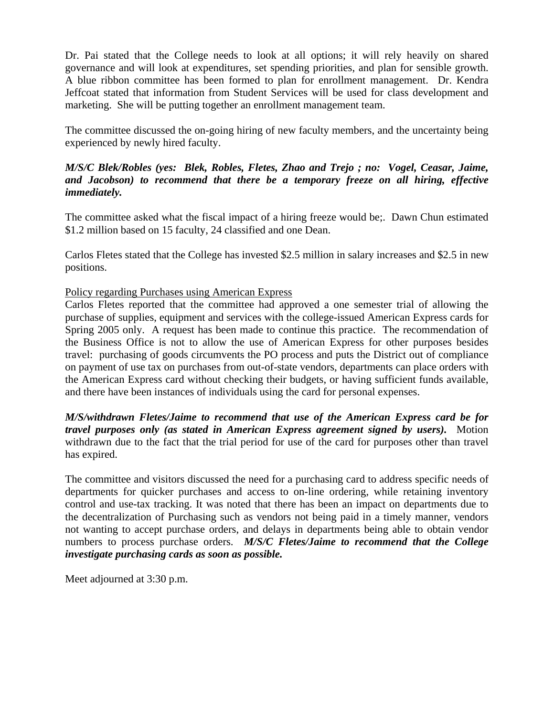Dr. Pai stated that the College needs to look at all options; it will rely heavily on shared governance and will look at expenditures, set spending priorities, and plan for sensible growth. A blue ribbon committee has been formed to plan for enrollment management. Dr. Kendra Jeffcoat stated that information from Student Services will be used for class development and marketing. She will be putting together an enrollment management team.

The committee discussed the on-going hiring of new faculty members, and the uncertainty being experienced by newly hired faculty.

# *M/S/C Blek/Robles (yes: Blek, Robles, Fletes, Zhao and Trejo ; no: Vogel, Ceasar, Jaime, and Jacobson) to recommend that there be a temporary freeze on all hiring, effective immediately.*

The committee asked what the fiscal impact of a hiring freeze would be;. Dawn Chun estimated \$1.2 million based on 15 faculty, 24 classified and one Dean.

Carlos Fletes stated that the College has invested \$2.5 million in salary increases and \$2.5 in new positions.

# Policy regarding Purchases using American Express

Carlos Fletes reported that the committee had approved a one semester trial of allowing the purchase of supplies, equipment and services with the college-issued American Express cards for Spring 2005 only. A request has been made to continue this practice. The recommendation of the Business Office is not to allow the use of American Express for other purposes besides travel: purchasing of goods circumvents the PO process and puts the District out of compliance on payment of use tax on purchases from out-of-state vendors, departments can place orders with the American Express card without checking their budgets, or having sufficient funds available, and there have been instances of individuals using the card for personal expenses.

*M/S/withdrawn Fletes/Jaime to recommend that use of the American Express card be for travel purposes only (as stated in American Express agreement signed by users).* Motion withdrawn due to the fact that the trial period for use of the card for purposes other than travel has expired.

The committee and visitors discussed the need for a purchasing card to address specific needs of departments for quicker purchases and access to on-line ordering, while retaining inventory control and use-tax tracking. It was noted that there has been an impact on departments due to the decentralization of Purchasing such as vendors not being paid in a timely manner, vendors not wanting to accept purchase orders, and delays in departments being able to obtain vendor numbers to process purchase orders. *M/S/C Fletes/Jaime to recommend that the College investigate purchasing cards as soon as possible.* 

Meet adjourned at 3:30 p.m.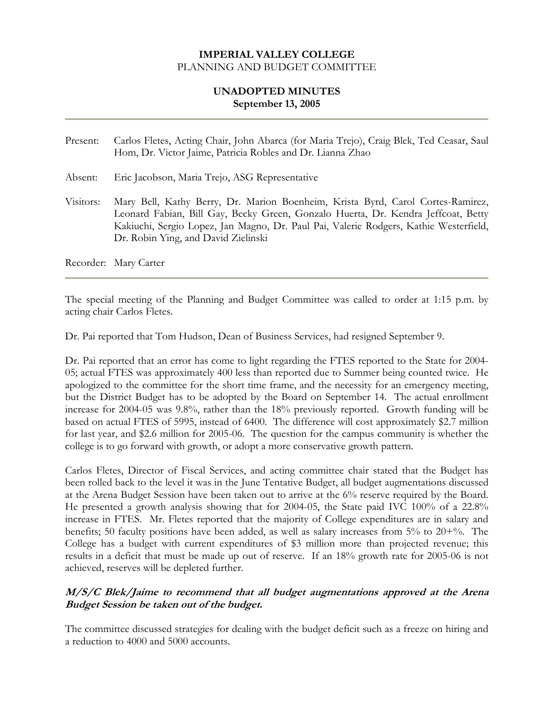# **UNADOPTED MINUTES September 13, 2005**

- Present: Carlos Fletes, Acting Chair, John Abarca (for Maria Trejo), Craig Blek, Ted Ceasar, Saul Hom, Dr. Victor Jaime, Patricia Robles and Dr. Lianna Zhao
- Absent: Eric Jacobson, Maria Trejo, ASG Representative
- Visitors: Mary Bell, Kathy Berry, Dr. Marion Boenheim, Krista Byrd, Carol Cortes-Ramirez, Leonard Fabian, Bill Gay, Becky Green, Gonzalo Huerta, Dr. Kendra Jeffcoat, Betty Kakiuchi, Sergio Lopez, Jan Magno, Dr. Paul Pai, Valerie Rodgers, Kathie Westerfield, Dr. Robin Ying, and David Zielinski

Recorder: Mary Carter

The special meeting of the Planning and Budget Committee was called to order at 1:15 p.m. by acting chair Carlos Fletes.

Dr. Pai reported that Tom Hudson, Dean of Business Services, had resigned September 9.

Dr. Pai reported that an error has come to light regarding the FTES reported to the State for 2004- 05; actual FTES was approximately 400 less than reported due to Summer being counted twice. He apologized to the committee for the short time frame, and the necessity for an emergency meeting, but the District Budget has to be adopted by the Board on September 14. The actual enrollment increase for 2004-05 was 9.8%, rather than the 18% previously reported. Growth funding will be based on actual FTES of 5995, instead of 6400. The difference will cost approximately \$2.7 million for last year, and \$2.6 million for 2005-06. The question for the campus community is whether the college is to go forward with growth, or adopt a more conservative growth pattern.

Carlos Fletes, Director of Fiscal Services, and acting committee chair stated that the Budget has been rolled back to the level it was in the June Tentative Budget, all budget augmentations discussed at the Arena Budget Session have been taken out to arrive at the 6% reserve required by the Board. He presented a growth analysis showing that for 2004-05, the State paid IVC 100% of a 22.8% increase in FTES. Mr. Fletes reported that the majority of College expenditures are in salary and benefits; 50 faculty positions have been added, as well as salary increases from 5% to 20+%. The College has a budget with current expenditures of \$3 million more than projected revenue; this results in a deficit that must be made up out of reserve. If an 18% growth rate for 2005-06 is not achieved, reserves will be depleted further.

### **M/S/C Blek/Jaime to recommend that all budget augmentations approved at the Arena Budget Session be taken out of the budget.**

The committee discussed strategies for dealing with the budget deficit such as a freeze on hiring and a reduction to 4000 and 5000 accounts.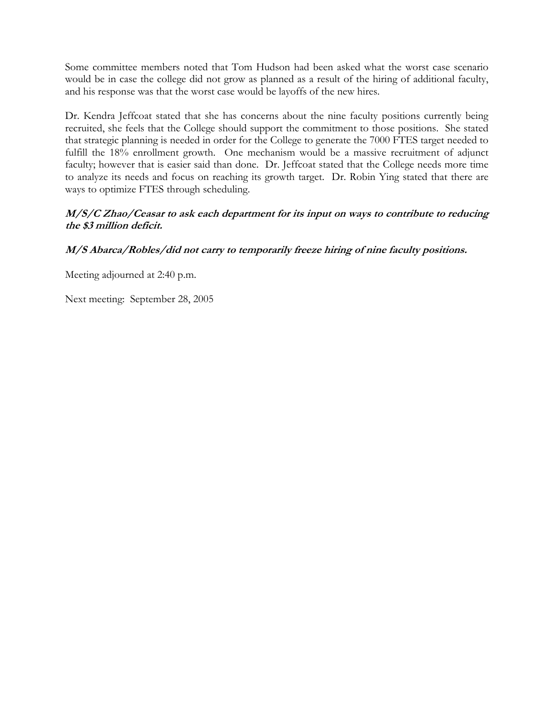Some committee members noted that Tom Hudson had been asked what the worst case scenario would be in case the college did not grow as planned as a result of the hiring of additional faculty, and his response was that the worst case would be layoffs of the new hires.

Dr. Kendra Jeffcoat stated that she has concerns about the nine faculty positions currently being recruited, she feels that the College should support the commitment to those positions. She stated that strategic planning is needed in order for the College to generate the 7000 FTES target needed to fulfill the 18% enrollment growth. One mechanism would be a massive recruitment of adjunct faculty; however that is easier said than done. Dr. Jeffcoat stated that the College needs more time to analyze its needs and focus on reaching its growth target. Dr. Robin Ying stated that there are ways to optimize FTES through scheduling.

# **M/S/C Zhao/Ceasar to ask each department for its input on ways to contribute to reducing the \$3 million deficit.**

# **M/S Abarca/Robles/did not carry to temporarily freeze hiring of nine faculty positions.**

Meeting adjourned at 2:40 p.m.

Next meeting: September 28, 2005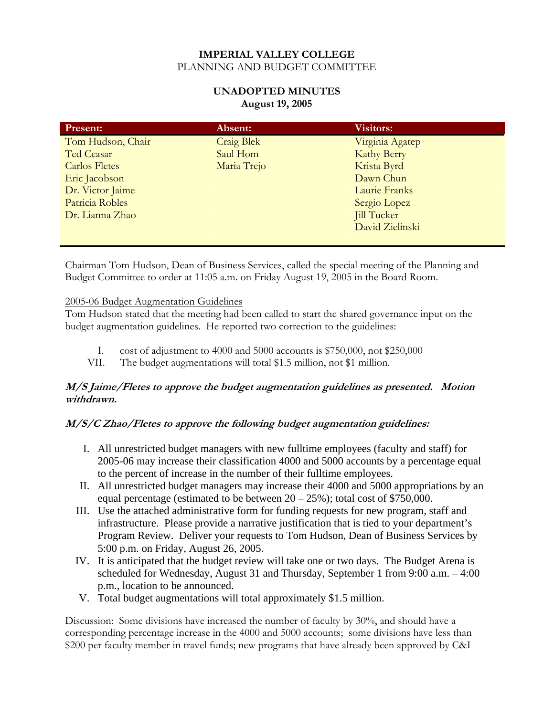# **UNADOPTED MINUTES August 19, 2005**

| <b>Present:</b>      | Absent:           | <b>Visitors:</b>   |
|----------------------|-------------------|--------------------|
| Tom Hudson, Chair    | <b>Craig Blek</b> | Virginia Agatep    |
| Ted Ceasar           | Saul Hom          | <b>Kathy Berry</b> |
| <b>Carlos Fletes</b> | Maria Trejo       | Krista Byrd        |
| Eric Jacobson        |                   | Dawn Chun          |
| Dr. Victor Jaime     |                   | Laurie Franks      |
| Patricia Robles      |                   | Sergio Lopez       |
| Dr. Lianna Zhao      |                   | <b>Jill Tucker</b> |
|                      |                   | David Zielinski    |
|                      |                   |                    |

Chairman Tom Hudson, Dean of Business Services, called the special meeting of the Planning and Budget Committee to order at 11:05 a.m. on Friday August 19, 2005 in the Board Room.

### 2005-06 Budget Augmentation Guidelines

Tom Hudson stated that the meeting had been called to start the shared governance input on the budget augmentation guidelines. He reported two correction to the guidelines:

- I. cost of adjustment to 4000 and 5000 accounts is \$750,000, not \$250,000
- VII. The budget augmentations will total \$1.5 million, not \$1 million.

# **M/S Jaime/Fletes to approve the budget augmentation guidelines as presented. Motion withdrawn.**

# **M/S/C Zhao/Fletes to approve the following budget augmentation guidelines:**

- I. All unrestricted budget managers with new fulltime employees (faculty and staff) for 2005-06 may increase their classification 4000 and 5000 accounts by a percentage equal to the percent of increase in the number of their fulltime employees.
- II. All unrestricted budget managers may increase their 4000 and 5000 appropriations by an equal percentage (estimated to be between  $20 - 25\%$ ); total cost of \$750,000.
- III. Use the attached administrative form for funding requests for new program, staff and infrastructure. Please provide a narrative justification that is tied to your department's Program Review. Deliver your requests to Tom Hudson, Dean of Business Services by 5:00 p.m. on Friday, August 26, 2005.
- IV. It is anticipated that the budget review will take one or two days. The Budget Arena is scheduled for Wednesday, August 31 and Thursday, September 1 from 9:00 a.m. – 4:00 p.m., location to be announced.
- V. Total budget augmentations will total approximately \$1.5 million.

Discussion: Some divisions have increased the number of faculty by 30%, and should have a corresponding percentage increase in the 4000 and 5000 accounts; some divisions have less than \$200 per faculty member in travel funds; new programs that have already been approved by C&I